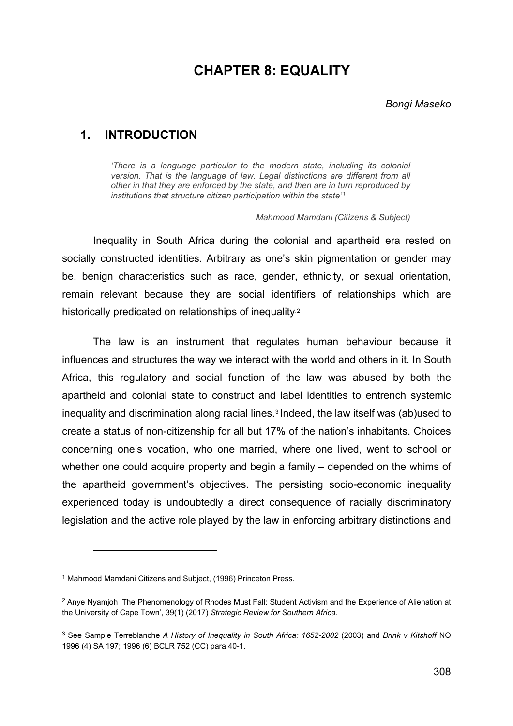## **CHAPTER 8: EQUALITY**

### **1. INTRODUCTION**

*'There is a language particular to the modern state, including its colonial*  version. That is the language of law. Legal distinctions are different from all *other in that they are enforced by the state, and then are in turn reproduced by institutions that structure citizen participation within the state' [1](#page-0-0)*

*Mahmood Mamdani (Citizens & Subject)*

Inequality in South Africa during the colonial and apartheid era rested on socially constructed identities. Arbitrary as one's skin pigmentation or gender may be, benign characteristics such as race, gender, ethnicity, or sexual orientation, remain relevant because they are social identifiers of relationships which are historically predicated on relationships of inequality.<sup>2</sup>

The law is an instrument that regulates human behaviour because it influences and structures the way we interact with the world and others in it. In South Africa, this regulatory and social function of the law was abused by both the apartheid and colonial state to construct and label identities to entrench systemic inequality and discrimination along racial lines.[3](#page-0-2) Indeed, the law itself was (ab)used to create a status of non-citizenship for all but 17% of the nation's inhabitants. Choices concerning one's vocation, who one married, where one lived, went to school or whether one could acquire property and begin a family – depended on the whims of the apartheid government's objectives. The persisting socio-economic inequality experienced today is undoubtedly a direct consequence of racially discriminatory legislation and the active role played by the law in enforcing arbitrary distinctions and

<span id="page-0-0"></span><sup>&</sup>lt;sup>1</sup> Mahmood Mamdani Citizens and Subject, (1996) Princeton Press.

<span id="page-0-1"></span><sup>2</sup> Anye Nyamjoh 'The Phenomenology of Rhodes Must Fall: Student Activism and the Experience of Alienation at the University of Cape Town', 39(1) (2017) *Strategic Review for Southern Africa.*

<span id="page-0-2"></span><sup>3</sup> See Sampie Terreblanche *A History of Inequality in South Africa: 1652-2002* (2003) and *Brink v Kitshoff* NO 1996 (4) SA 197; 1996 (6) BCLR 752 (CC) para 40-1.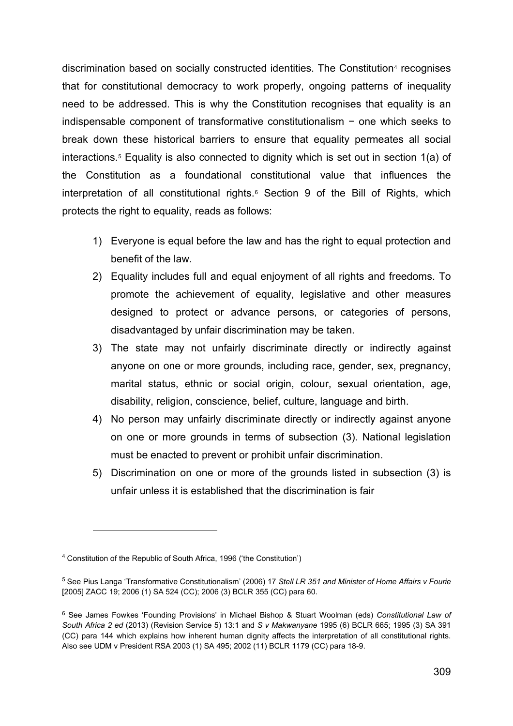discrimination based on socially constructed identities. The Constitution<sup>[4](#page-1-0)</sup> recognises that for constitutional democracy to work properly, ongoing patterns of inequality need to be addressed. This is why the Constitution recognises that equality is an indispensable component of transformative constitutionalism − one which seeks to break down these historical barriers to ensure that equality permeates all social interactions.[5](#page-1-1) Equality is also connected to dignity which is set out in section 1(a) of the Constitution as a foundational constitutional value that influences the interpretation of all constitutional rights.<sup>[6](#page-1-2)</sup> Section 9 of the Bill of Rights, which protects the right to equality, reads as follows:

- 1) Everyone is equal before the law and has the right to equal protection and benefit of the law.
- 2) Equality includes full and equal enjoyment of all rights and freedoms. To promote the achievement of equality, legislative and other measures designed to protect or advance persons, or categories of persons, disadvantaged by unfair discrimination may be taken.
- 3) The state may not unfairly discriminate directly or indirectly against anyone on one or more grounds, including race, gender, sex, pregnancy, marital status, ethnic or social origin, colour, sexual orientation, age, disability, religion, conscience, belief, culture, language and birth.
- 4) No person may unfairly discriminate directly or indirectly against anyone on one or more grounds in terms of subsection (3). National legislation must be enacted to prevent or prohibit unfair discrimination.
- 5) Discrimination on one or more of the grounds listed in subsection (3) is unfair unless it is established that the discrimination is fair

<span id="page-1-0"></span><sup>4</sup> Constitution of the Republic of South Africa, 1996 ('the Constitution')

<span id="page-1-1"></span><sup>5</sup> See Pius Langa 'Transformative Constitutionalism' (2006) 17 *Stell LR 351 and Minister of Home Affairs v Fourie* [2005] ZACC 19; 2006 (1) SA 524 (CC); 2006 (3) BCLR 355 (CC) para 60.

<span id="page-1-2"></span><sup>6</sup> See James Fowkes 'Founding Provisions' in Michael Bishop & Stuart Woolman (eds) *Constitutional Law of South Africa 2 ed* (2013) (Revision Service 5) 13:1 and *S v Makwanyane* 1995 (6) BCLR 665; 1995 (3) SA 391 (CC) para 144 which explains how inherent human dignity affects the interpretation of all constitutional rights. Also see UDM v President RSA 2003 (1) SA 495; 2002 (11) BCLR 1179 (CC) para 18-9.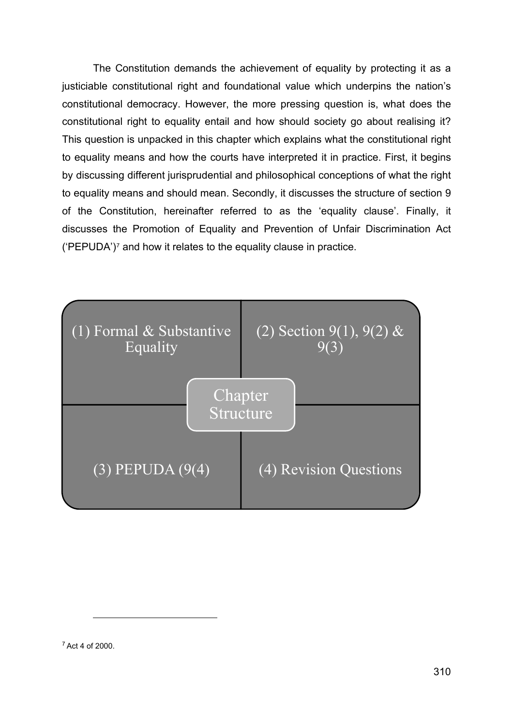The Constitution demands the achievement of equality by protecting it as a justiciable constitutional right and foundational value which underpins the nation's constitutional democracy. However, the more pressing question is, what does the constitutional right to equality entail and how should society go about realising it? This question is unpacked in this chapter which explains what the constitutional right to equality means and how the courts have interpreted it in practice. First, it begins by discussing different jurisprudential and philosophical conceptions of what the right to equality means and should mean. Secondly, it discusses the structure of section 9 of the Constitution, hereinafter referred to as the 'equality clause'. Finally, it discusses the Promotion of Equality and Prevention of Unfair Discrimination Act ('PEPUDA')[7](#page-2-0) and how it relates to the equality clause in practice.



<span id="page-2-0"></span><sup>7</sup> Act 4 of 2000.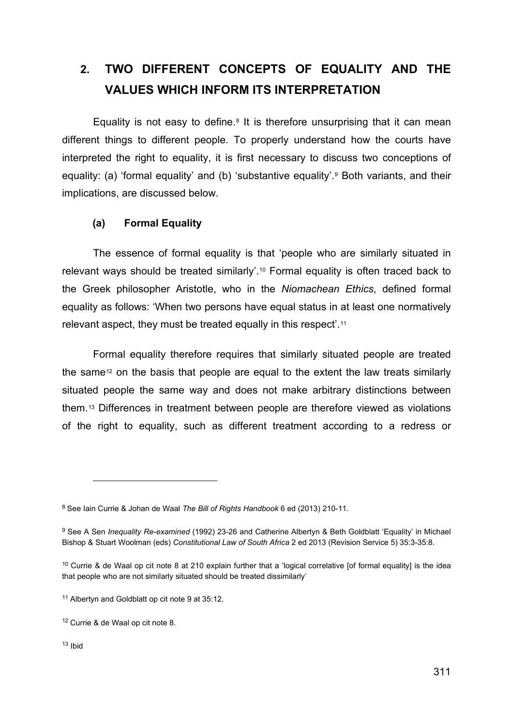# **2. TWO DIFFERENT CONCEPTS OF EQUALITY AND THE VALUES WHICH INFORM ITS INTERPRETATION**

Equality is not easy to define.<sup>[8](#page-3-0)</sup> It is therefore unsurprising that it can mean different things to different people. To properly understand how the courts have interpreted the right to equality, it is first necessary to discuss two conceptions of equality: (a) 'formal equality' and (b) 'substantive equality'.[9](#page-3-1) Both variants, and their implications, are discussed below.

### **(a) Formal Equality**

The essence of formal equality is that 'people who are similarly situated in relevant ways should be treated similarly'.[10](#page-3-2) Formal equality is often traced back to the Greek philosopher Aristotle, who in the *Niomachean Ethics*, defined formal equality as follows: 'When two persons have equal status in at least one normatively relevant aspect, they must be treated equally in this respect'.[11](#page-3-3)

Formal equality therefore requires that similarly situated people are treated the same<sup>[12](#page-3-4)</sup> on the basis that people are equal to the extent the law treats similarly situated people the same way and does not make arbitrary distinctions between them[.13](#page-3-5) Differences in treatment between people are therefore viewed as violations of the right to equality, such as different treatment according to a redress or

<span id="page-3-0"></span><sup>8</sup> See Iain Currie & Johan de Waal *The Bill of Rights Handbook* 6 ed (2013) 210-11.

<span id="page-3-1"></span><sup>9</sup> See A Sen *Inequality Re-examined* (1992) 23-26 and Catherine Albertyn & Beth Goldblatt 'Equality' in Michael Bishop & Stuart Woolman (eds) *Constitutional Law of South Africa* 2 ed 2013 (Revision Service 5) 35:3-35:8.

<span id="page-3-2"></span><sup>&</sup>lt;sup>10</sup> Currie & de Waal op cit note 8 at 210 explain further that a 'logical correlative [of formal equality] is the idea that people who are not similarly situated should be treated dissimilarly'

<span id="page-3-3"></span><sup>&</sup>lt;sup>11</sup> Albertyn and Goldblatt op cit note 9 at 35:12.

<span id="page-3-5"></span><span id="page-3-4"></span><sup>12</sup> Currie & de Waal op cit note 8.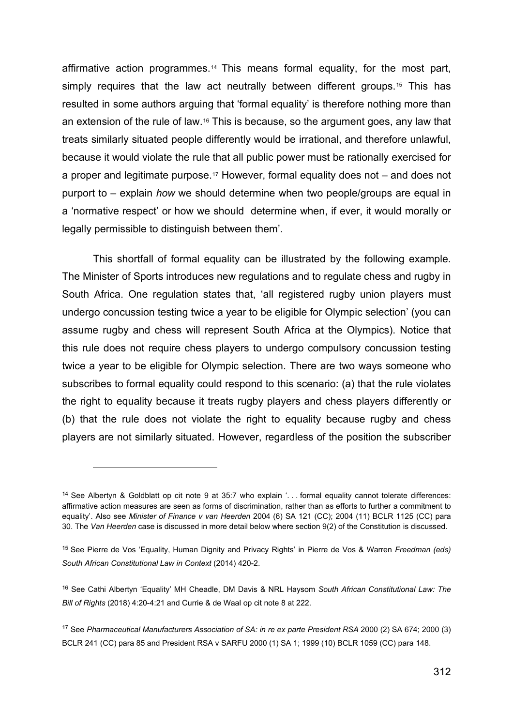affirmative action programmes[.14](#page-4-0) This means formal equality, for the most part, simply requires that the law act neutrally between different groups.<sup>[15](#page-4-1)</sup> This has resulted in some authors arguing that 'formal equality' is therefore nothing more than an extension of the rule of law[.16](#page-4-2) This is because, so the argument goes, any law that treats similarly situated people differently would be irrational, and therefore unlawful, because it would violate the rule that all public power must be rationally exercised for a proper and legitimate purpose.[17](#page-4-3) However, formal equality does not – and does not purport to – explain *how* we should determine when two people/groups are equal in a 'normative respect' or how we should determine when, if ever, it would morally or legally permissible to distinguish between them'.

This shortfall of formal equality can be illustrated by the following example. The Minister of Sports introduces new regulations and to regulate chess and rugby in South Africa. One regulation states that, 'all registered rugby union players must undergo concussion testing twice a year to be eligible for Olympic selection' (you can assume rugby and chess will represent South Africa at the Olympics). Notice that this rule does not require chess players to undergo compulsory concussion testing twice a year to be eligible for Olympic selection. There are two ways someone who subscribes to formal equality could respond to this scenario: (a) that the rule violates the right to equality because it treats rugby players and chess players differently or (b) that the rule does not violate the right to equality because rugby and chess players are not similarly situated. However, regardless of the position the subscriber

<span id="page-4-0"></span><sup>14</sup> See Albertyn & Goldblatt op cit note 9 at 35:7 who explain '. . . formal equality cannot tolerate differences: affirmative action measures are seen as forms of discrimination, rather than as efforts to further a commitment to equality'. Also see *Minister of Finance v van Heerden* 2004 (6) SA 121 (CC); 2004 (11) BCLR 1125 (CC) para 30. The *Van Heerden* case is discussed in more detail below where section 9(2) of the Constitution is discussed.

<span id="page-4-1"></span><sup>15</sup> See Pierre de Vos 'Equality, Human Dignity and Privacy Rights' in Pierre de Vos & Warren *Freedman (eds) South African Constitutional Law in Context* (2014) 420-2.

<span id="page-4-2"></span><sup>16</sup> See Cathi Albertyn 'Equality' MH Cheadle, DM Davis & NRL Haysom *South African Constitutional Law: The Bill of Rights* (2018) 4:20-4:21 and Currie & de Waal op cit note 8 at 222.

<span id="page-4-3"></span><sup>17</sup> See *Pharmaceutical Manufacturers Association of SA: in re ex parte President RSA* 2000 (2) SA 674; 2000 (3) BCLR 241 (CC) para 85 and President RSA v SARFU 2000 (1) SA 1; 1999 (10) BCLR 1059 (CC) para 148.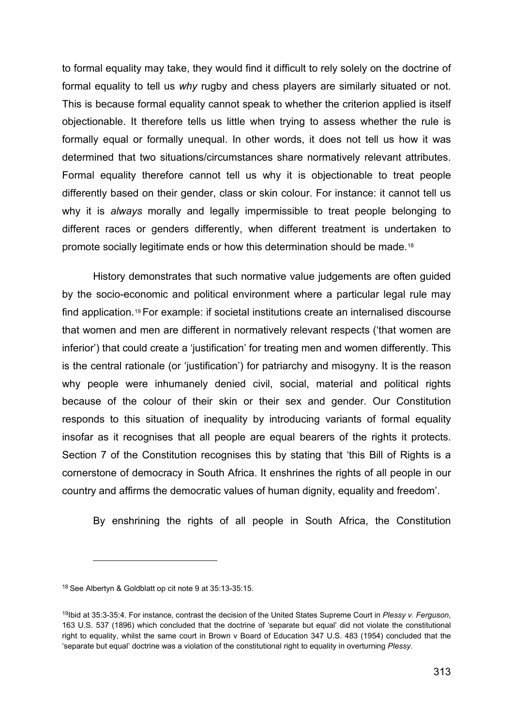to formal equality may take, they would find it difficult to rely solely on the doctrine of formal equality to tell us *why* rugby and chess players are similarly situated or not. This is because formal equality cannot speak to whether the criterion applied is itself objectionable. It therefore tells us little when trying to assess whether the rule is formally equal or formally unequal. In other words, it does not tell us how it was determined that two situations/circumstances share normatively relevant attributes. Formal equality therefore cannot tell us why it is objectionable to treat people differently based on their gender, class or skin colour. For instance: it cannot tell us why it is *always* morally and legally impermissible to treat people belonging to different races or genders differently, when different treatment is undertaken to promote socially legitimate ends or how this determination should be made.[18](#page-5-0)

History demonstrates that such normative value judgements are often guided by the socio-economic and political environment where a particular legal rule may find application.[19](#page-5-1) For example: if societal institutions create an internalised discourse that women and men are different in normatively relevant respects ('that women are inferior') that could create a 'justification' for treating men and women differently. This is the central rationale (or 'justification') for patriarchy and misogyny. It is the reason why people were inhumanely denied civil, social, material and political rights because of the colour of their skin or their sex and gender. Our Constitution responds to this situation of inequality by introducing variants of formal equality insofar as it recognises that all people are equal bearers of the rights it protects. Section 7 of the Constitution recognises this by stating that 'this Bill of Rights is a cornerstone of democracy in South Africa. It enshrines the rights of all people in our country and affirms the democratic values of human dignity, equality and freedom'.

By enshrining the rights of all people in South Africa, the Constitution

<span id="page-5-0"></span><sup>18</sup> See Albertyn & Goldblatt op cit note 9 at 35:13-35:15.

<span id="page-5-1"></span><sup>19</sup>Ibid at 35:3-35:4. For instance, contrast the decision of the United States Supreme Court in *Plessy v. Ferguson*, 163 U.S. 537 (1896) which concluded that the doctrine of 'separate but equal' did not violate the constitutional right to equality, whilst the same court in Brown v Board of Education 347 U.S. 483 (1954) concluded that the 'separate but equal' doctrine was a violation of the constitutional right to equality in overturning *Plessy*.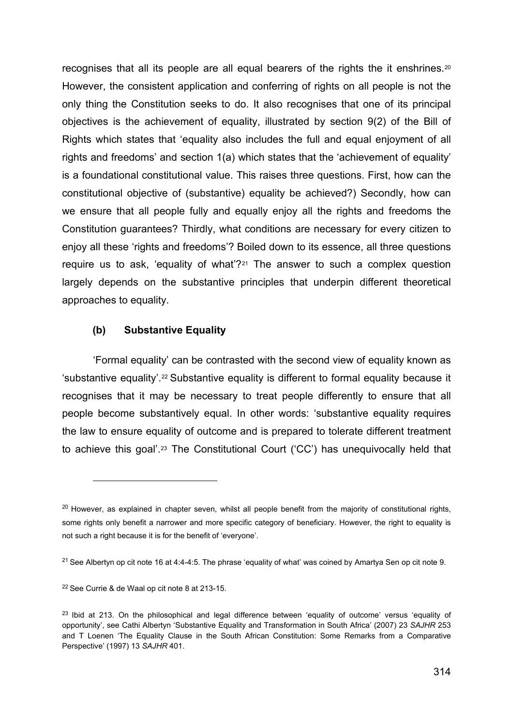recognises that all its people are all equal bearers of the rights the it enshrines.[20](#page-6-0) However, the consistent application and conferring of rights on all people is not the only thing the Constitution seeks to do. It also recognises that one of its principal objectives is the achievement of equality, illustrated by section 9(2) of the Bill of Rights which states that 'equality also includes the full and equal enjoyment of all rights and freedoms' and section 1(a) which states that the 'achievement of equality' is a foundational constitutional value. This raises three questions. First, how can the constitutional objective of (substantive) equality be achieved?) Secondly, how can we ensure that all people fully and equally enjoy all the rights and freedoms the Constitution guarantees? Thirdly, what conditions are necessary for every citizen to enjoy all these 'rights and freedoms'? Boiled down to its essence, all three questions require us to ask, 'equality of what'?<sup>[21](#page-6-1)</sup> The answer to such a complex question largely depends on the substantive principles that underpin different theoretical approaches to equality.

#### **(b) Substantive Equality**

'Formal equality' can be contrasted with the second view of equality known as 'substantive equality'[.22](#page-6-2) Substantive equality is different to formal equality because it recognises that it may be necessary to treat people differently to ensure that all people become substantively equal. In other words: 'substantive equality requires the law to ensure equality of outcome and is prepared to tolerate different treatment to achieve this goal'.[23](#page-6-3) The Constitutional Court ('CC') has unequivocally held that

<span id="page-6-0"></span><sup>&</sup>lt;sup>20</sup> However, as explained in chapter seven, whilst all people benefit from the majority of constitutional rights, some rights only benefit a narrower and more specific category of beneficiary. However, the right to equality is not such a right because it is for the benefit of 'everyone'.

<span id="page-6-1"></span><sup>&</sup>lt;sup>21</sup> See Albertyn op cit note 16 at 4:4-4:5. The phrase 'equality of what' was coined by Amartya Sen op cit note 9.

<span id="page-6-2"></span><sup>22</sup> See Currie & de Waal op cit note 8 at 213-15.

<span id="page-6-3"></span><sup>&</sup>lt;sup>23</sup> Ibid at 213. On the philosophical and legal difference between 'equality of outcome' versus 'equality of opportunity', see Cathi Albertyn 'Substantive Equality and Transformation in South Africa' (2007) 23 *SAJHR* 253 and T Loenen 'The Equality Clause in the South African Constitution: Some Remarks from a Comparative Perspective' (1997) 13 *SAJHR* 401.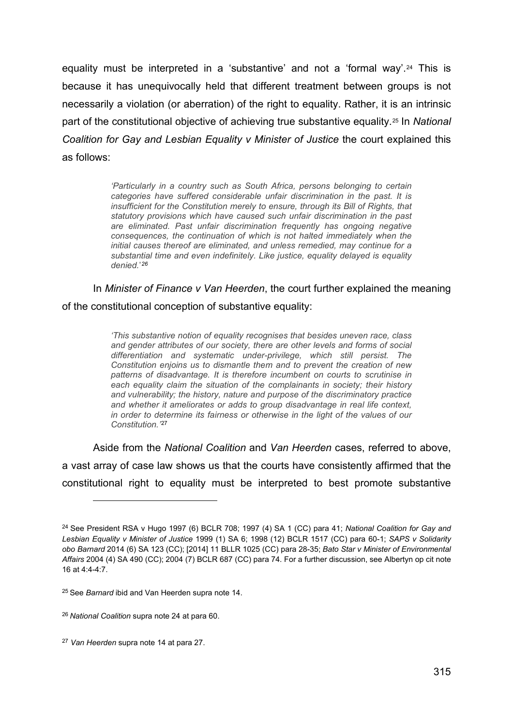equality must be interpreted in a 'substantive' and not a 'formal way'.<sup>[24](#page-7-0)</sup> This is because it has unequivocally held that different treatment between groups is not necessarily a violation (or aberration) of the right to equality. Rather, it is an intrinsic part of the constitutional objective of achieving true substantive equality.[25](#page-7-1) In *National Coalition for Gay and Lesbian Equality v Minister of Justice* the court explained this as follows:

> *'Particularly in a country such as South Africa, persons belonging to certain categories have suffered considerable unfair discrimination in the past. It is insufficient for the Constitution merely to ensure, through its Bill of Rights, that statutory provisions which have caused such unfair discrimination in the past are eliminated. Past unfair discrimination frequently has ongoing negative consequences, the continuation of which is not halted immediately when the initial causes thereof are eliminated, and unless remedied, may continue for a substantial time and even indefinitely. Like justice, equality delayed is equality denied.*' *[26](#page-7-2)*

In *Minister of Finance v Van Heerden*, the court further explained the meaning of the constitutional conception of substantive equality:

> *'This substantive notion of equality recognises that besides uneven race, class and gender attributes of our society, there are other levels and forms of social differentiation and systematic under-privilege, which still persist. The Constitution enjoins us to dismantle them and to prevent the creation of new patterns of disadvantage. It is therefore incumbent on courts to scrutinise in each equality claim the situation of the complainants in society; their history and vulnerability; the history, nature and purpose of the discriminatory practice and whether it ameliorates or adds to group disadvantage in real life context, in order to determine its fairness or otherwise in the light of the values of our Constitution.'* [27](#page-7-3)

Aside from the *National Coalition* and *Van Heerden* cases, referred to above, a vast array of case law shows us that the courts have consistently affirmed that the constitutional right to equality must be interpreted to best promote substantive

<span id="page-7-0"></span><sup>24</sup> See President RSA v Hugo 1997 (6) BCLR 708; 1997 (4) SA 1 (CC) para 41; *National Coalition for Gay and Lesbian Equality v Minister of Justice* 1999 (1) SA 6; 1998 (12) BCLR 1517 (CC) para 60-1; *SAPS v Solidarity obo Barnard* 2014 (6) SA 123 (CC); [2014] 11 BLLR 1025 (CC) para 28-35; *Bato Star v Minister of Environmental Affairs* 2004 (4) SA 490 (CC); 2004 (7) BCLR 687 (CC) para 74. For a further discussion, see Albertyn op cit note 16 at 4:4-4:7.

<span id="page-7-1"></span><sup>25</sup> See *Barnard* ibid and Van Heerden supra note 14.

<span id="page-7-2"></span><sup>26</sup> *National Coalition* supra note 24 at para 60.

<span id="page-7-3"></span><sup>27</sup> *Van Heerden* supra note 14 at para 27.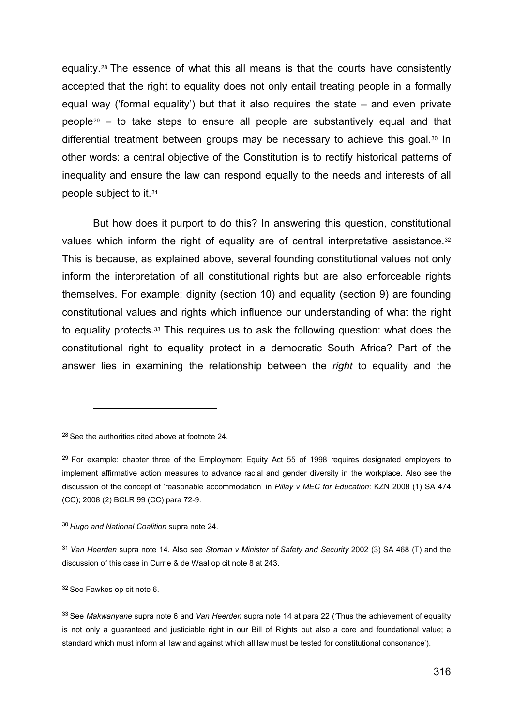equality.[28](#page-8-0) The essence of what this all means is that the courts have consistently accepted that the right to equality does not only entail treating people in a formally equal way ('formal equality') but that it also requires the state – and even private people[29](#page-8-1) – to take steps to ensure all people are substantively equal and that differential treatment between groups may be necessary to achieve this goal.<sup>30</sup> In other words: a central objective of the Constitution is to rectify historical patterns of inequality and ensure the law can respond equally to the needs and interests of all people subject to it.[31](#page-8-3)

But how does it purport to do this? In answering this question, constitutional values which inform the right of equality are of central interpretative assistance.<sup>[32](#page-8-4)</sup> This is because, as explained above, several founding constitutional values not only inform the interpretation of all constitutional rights but are also enforceable rights themselves. For example: dignity (section 10) and equality (section 9) are founding constitutional values and rights which influence our understanding of what the right to equality protects.[33](#page-8-5) This requires us to ask the following question: what does the constitutional right to equality protect in a democratic South Africa? Part of the answer lies in examining the relationship between the *right* to equality and the

<span id="page-8-0"></span><sup>28</sup> See the authorities cited above at footnote 24.

<span id="page-8-1"></span> $29$  For example: chapter three of the Employment Equity Act 55 of 1998 requires designated employers to implement affirmative action measures to advance racial and gender diversity in the workplace. Also see the discussion of the concept of 'reasonable accommodation' in *Pillay v MEC for Education*: KZN 2008 (1) SA 474 (CC); 2008 (2) BCLR 99 (CC) para 72-9.

<span id="page-8-2"></span><sup>30</sup> *Hugo and National Coalition* supra note 24.

<span id="page-8-3"></span><sup>31</sup> *Van Heerden* supra note 14. Also see *Stoman v Minister of Safety and Security* 2002 (3) SA 468 (T) and the discussion of this case in Currie & de Waal op cit note 8 at 243.

<span id="page-8-4"></span><sup>32</sup> See Fawkes op cit note 6.

<span id="page-8-5"></span><sup>33</sup> See *Makwanyane* supra note 6 and *Van Heerden* supra note 14 at para 22 ('Thus the achievement of equality is not only a guaranteed and justiciable right in our Bill of Rights but also a core and foundational value; a standard which must inform all law and against which all law must be tested for constitutional consonance').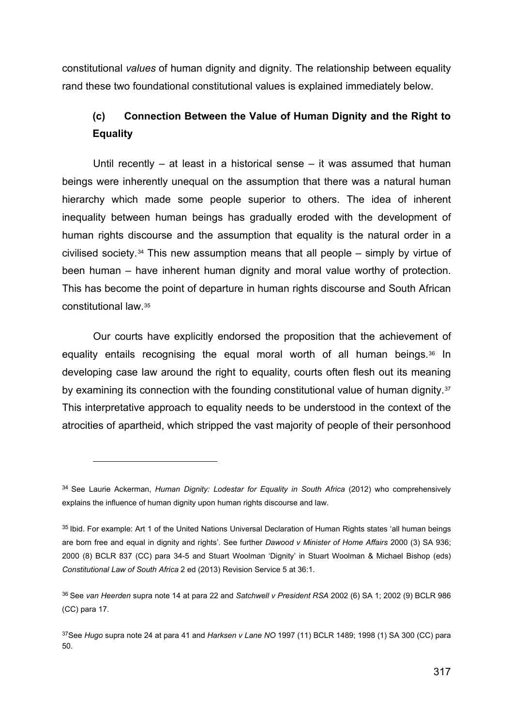constitutional *values* of human dignity and dignity. The relationship between equality rand these two foundational constitutional values is explained immediately below.

## **(c) Connection Between the Value of Human Dignity and the Right to Equality**

Until recently – at least in a historical sense – it was assumed that human beings were inherently unequal on the assumption that there was a natural human hierarchy which made some people superior to others. The idea of inherent inequality between human beings has gradually eroded with the development of human rights discourse and the assumption that equality is the natural order in a civilised society.<sup>[34](#page-9-0)</sup> This new assumption means that all people – simply by virtue of been human – have inherent human dignity and moral value worthy of protection. This has become the point of departure in human rights discourse and South African constitutional law.[35](#page-9-1)

Our courts have explicitly endorsed the proposition that the achievement of equality entails recognising the equal moral worth of all human beings.[36](#page-9-2) In developing case law around the right to equality, courts often flesh out its meaning by examining its connection with the founding constitutional value of human dignity.<sup>[37](#page-9-3)</sup> This interpretative approach to equality needs to be understood in the context of the atrocities of apartheid, which stripped the vast majority of people of their personhood

<span id="page-9-0"></span><sup>34</sup> See Laurie Ackerman, *Human Dignity: Lodestar for Equality in South Africa* (2012) who comprehensively explains the influence of human dignity upon human rights discourse and law.

<span id="page-9-1"></span><sup>35</sup> Ibid. For example: Art 1 of the United Nations Universal Declaration of Human Rights states 'all human beings are born free and equal in dignity and rights'. See further *Dawood v Minister of Home Affairs* 2000 (3) SA 936; 2000 (8) BCLR 837 (CC) para 34-5 and Stuart Woolman 'Dignity' in Stuart Woolman & Michael Bishop (eds) *Constitutional Law of South Africa* 2 ed (2013) Revision Service 5 at 36:1.

<span id="page-9-2"></span><sup>36</sup> See *van Heerden* supra note 14 at para 22 and *Satchwell v President RSA* 2002 (6) SA 1; 2002 (9) BCLR 986 (CC) para 17.

<span id="page-9-3"></span><sup>37</sup>See *Hugo* supra note 24 at para 41 and *Harksen v Lane NO* 1997 (11) BCLR 1489; 1998 (1) SA 300 (CC) para 50.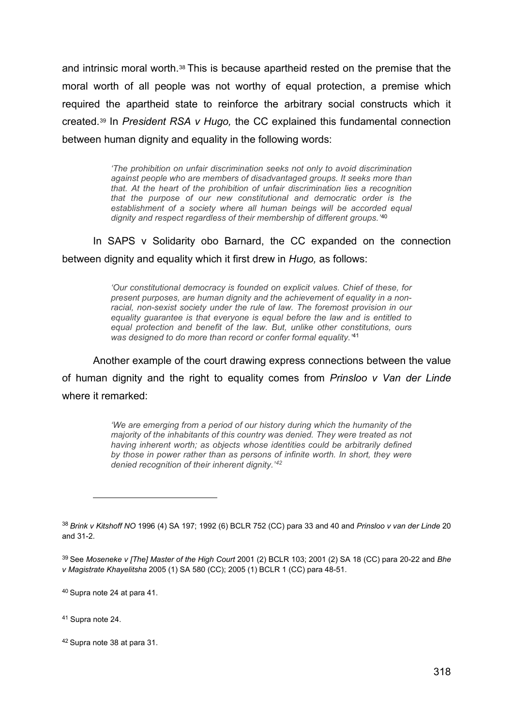and intrinsic moral worth.<sup>[38](#page-10-0)</sup> This is because apartheid rested on the premise that the moral worth of all people was not worthy of equal protection, a premise which required the apartheid state to reinforce the arbitrary social constructs which it created.[39](#page-10-1) In *President RSA v Hugo,* the CC explained this fundamental connection between human dignity and equality in the following words:

> *'The prohibition on unfair discrimination seeks not only to avoid discrimination against people who are members of disadvantaged groups. It seeks more than that. At the heart of the prohibition of unfair discrimination lies a recognition that the purpose of our new constitutional and democratic order is the establishment of a society where all human beings will be accorded equal dignity and respect regardless of their membership of different groups.'* [40](#page-10-2)

In SAPS v Solidarity obo Barnard, the CC expanded on the connection between dignity and equality which it first drew in *Hugo,* as follows:

> *'Our constitutional democracy is founded on explicit values. Chief of these, for present purposes, are human dignity and the achievement of equality in a nonracial, non-sexist society under the rule of law. The foremost provision in our equality guarantee is that everyone is equal before the law and is entitled to equal protection and benefit of the law. But, unlike other constitutions, ours was designed to do more than record or confer formal equality.'* [41](#page-10-3)

Another example of the court drawing express connections between the value of human dignity and the right to equality comes from *Prinsloo v Van der Linde*  where it remarked:

> *'We are emerging from a period of our history during which the humanity of the majority of the inhabitants of this country was denied. They were treated as not having inherent worth; as objects whose identities could be arbitrarily defined by those in power rather than as persons of infinite worth. In short, they were denied recognition of their inherent dignity.' [42](#page-10-4)*

<span id="page-10-2"></span><sup>40</sup> Supra note 24 at para 41.

<span id="page-10-3"></span><sup>41</sup> Supra note 24.

<span id="page-10-0"></span><sup>38</sup> *Brink v Kitshoff NO* 1996 (4) SA 197; 1992 (6) BCLR 752 (CC) para 33 and 40 and *Prinsloo v van der Linde* 20 and 31-2.

<span id="page-10-1"></span><sup>39</sup> See *Moseneke v [The] Master of the High Court* 2001 (2) BCLR 103; 2001 (2) SA 18 (CC) para 20-22 and *Bhe v Magistrate Khayelitsha* 2005 (1) SA 580 (CC); 2005 (1) BCLR 1 (CC) para 48-51.

<span id="page-10-4"></span><sup>42</sup> Supra note 38 at para 31.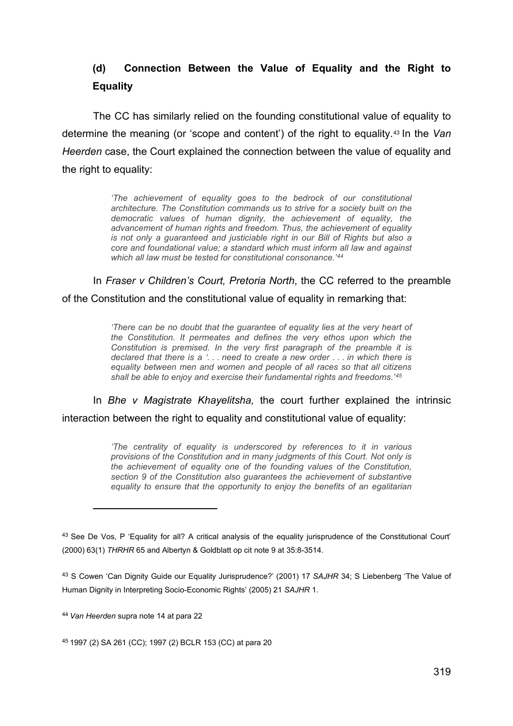## **(d) Connection Between the Value of Equality and the Right to Equality**

The CC has similarly relied on the founding constitutional value of equality to determine the meaning (or 'scope and content') of the right to equality.[43](#page-11-0) In the *Van Heerden* case, the Court explained the connection between the value of equality and the right to equality:

> *'The achievement of equality goes to the bedrock of our constitutional architecture. The Constitution commands us to strive for a society built on the democratic values of human dignity, the achievement of equality, the advancement of human rights and freedom. Thus, the achievement of equality is not only a guaranteed and justiciable right in our Bill of Rights but also a core and foundational value; a standard which must inform all law and against which all law must be tested for constitutional consonance.' [44](#page-11-1)*

In *Fraser v Children's Court, Pretoria North*, the CC referred to the preamble of the Constitution and the constitutional value of equality in remarking that:

> *'There can be no doubt that the quarantee of equality lies at the very heart of the Constitution. It permeates and defines the very ethos upon which the Constitution is premised. In the very first paragraph of the preamble it is declared that there is a '. . . need to create a new order . . . in which there is equality between men and women and people of all races so that all citizens shall be able to enjoy and exercise their fundamental rights and freedoms.' [45](#page-11-2)*

In *Bhe v Magistrate Khayelitsha,* the court further explained the intrinsic interaction between the right to equality and constitutional value of equality:

> *'The centrality of equality is underscored by references to it in various provisions of the Constitution and in many judgments of this Court. Not only is the achievement of equality one of the founding values of the Constitution, section 9 of the Constitution also guarantees the achievement of substantive equality to ensure that the opportunity to enjoy the benefits of an egalitarian*

<span id="page-11-0"></span><sup>&</sup>lt;sup>43</sup> See De Vos, P 'Equality for all? A critical analysis of the equality jurisprudence of the Constitutional Court' (2000) 63(1) *THRHR* 65 and Albertyn & Goldblatt op cit note 9 at 35:8-3514.

<sup>43</sup> S Cowen 'Can Dignity Guide our Equality Jurisprudence?' (2001) 17 *SAJHR* 34; S Liebenberg 'The Value of Human Dignity in Interpreting Socio-Economic Rights' (2005) 21 *SAJHR* 1.

<span id="page-11-1"></span><sup>44</sup> *Van Heerden* supra note 14 at para 22

<span id="page-11-2"></span><sup>45</sup> 1997 (2) SA 261 (CC); 1997 (2) BCLR 153 (CC) at para 20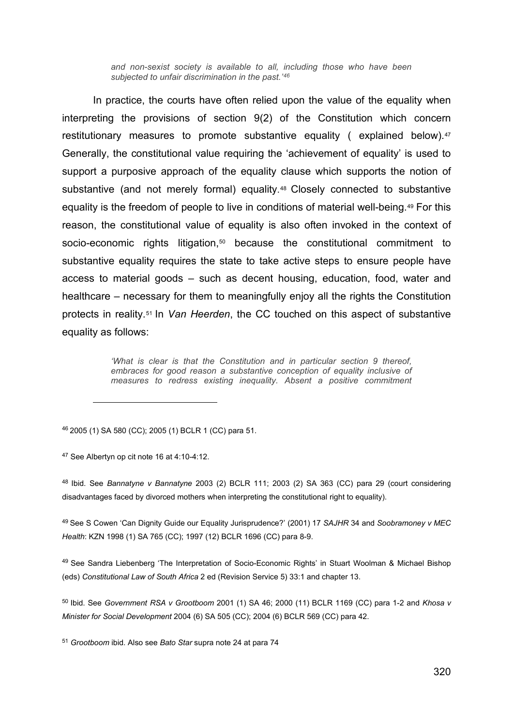*and non-sexist society is available to all, including those who have been subjected to unfair discrimination in the past.'[46](#page-12-0)*

In practice, the courts have often relied upon the value of the equality when interpreting the provisions of section 9(2) of the Constitution which concern restitutionary measures to promote substantive equality (explained below).<sup>[47](#page-12-1)</sup> Generally, the constitutional value requiring the 'achievement of equality' is used to support a purposive approach of the equality clause which supports the notion of substantive (and not merely formal) equality.<sup>[48](#page-12-2)</sup> Closely connected to substantive equality is the freedom of people to live in conditions of material well-being[.49](#page-12-3) For this reason, the constitutional value of equality is also often invoked in the context of socio-economic rights litigation,<sup>[50](#page-12-4)</sup> because the constitutional commitment to substantive equality requires the state to take active steps to ensure people have access to material goods – such as decent housing, education, food, water and healthcare – necessary for them to meaningfully enjoy all the rights the Constitution protects in reality.[51](#page-12-5) In *Van Heerden*, the CC touched on this aspect of substantive equality as follows:

> *'What is clear is that the Constitution and in particular section 9 thereof, embraces for good reason a substantive conception of equality inclusive of measures to redress existing inequality. Absent a positive commitment*

<span id="page-12-0"></span><sup>46</sup> 2005 (1) SA 580 (CC); 2005 (1) BCLR 1 (CC) para 51.

<span id="page-12-1"></span><sup>47</sup> See Albertyn op cit note 16 at 4:10-4:12.

<span id="page-12-2"></span><sup>48</sup> Ibid. See *Bannatyne v Bannatyne* 2003 (2) BCLR 111; 2003 (2) SA 363 (CC) para 29 (court considering disadvantages faced by divorced mothers when interpreting the constitutional right to equality).

<span id="page-12-3"></span><sup>49</sup> See S Cowen 'Can Dignity Guide our Equality Jurisprudence?' (2001) 17 *SAJHR* 34 and *Soobramoney v MEC Health*: KZN 1998 (1) SA 765 (CC); 1997 (12) BCLR 1696 (CC) para 8-9.

<sup>49</sup> See Sandra Liebenberg 'The Interpretation of Socio-Economic Rights' in Stuart Woolman & Michael Bishop (eds) *Constitutional Law of South Africa* 2 ed (Revision Service 5) 33:1 and chapter 13.

<span id="page-12-4"></span><sup>50</sup> Ibid. See *Government RSA v Grootboom* 2001 (1) SA 46; 2000 (11) BCLR 1169 (CC) para 1-2 and *Khosa v Minister for Social Development* 2004 (6) SA 505 (CC); 2004 (6) BCLR 569 (CC) para 42.

<span id="page-12-5"></span><sup>51</sup> *Grootboom* ibid. Also see *Bato Star* supra note 24 at para 74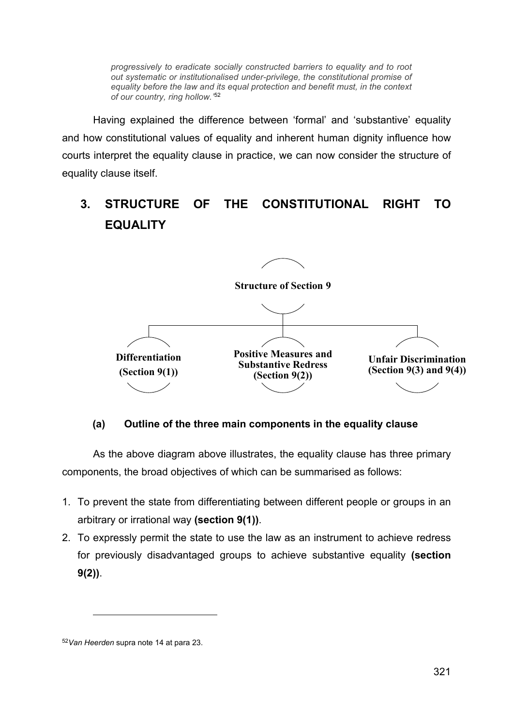*progressively to eradicate socially constructed barriers to equality and to root out systematic or institutionalised under-privilege, the constitutional promise of equality before the law and its equal protection and benefit must, in the context of our country, ring hollow.'* [52](#page-13-0)

Having explained the difference between 'formal' and 'substantive' equality and how constitutional values of equality and inherent human dignity influence how courts interpret the equality clause in practice, we can now consider the structure of equality clause itself.

# **3. STRUCTURE OF THE CONSTITUTIONAL RIGHT TO EQUALITY**



### **(a) Outline of the three main components in the equality clause**

As the above diagram above illustrates, the equality clause has three primary components, the broad objectives of which can be summarised as follows:

- 1. To prevent the state from differentiating between different people or groups in an arbitrary or irrational way **(section 9(1))**.
- 2. To expressly permit the state to use the law as an instrument to achieve redress for previously disadvantaged groups to achieve substantive equality **(section 9(2))**.

<span id="page-13-0"></span><sup>52</sup>*Van Heerden* supra note 14 at para 23.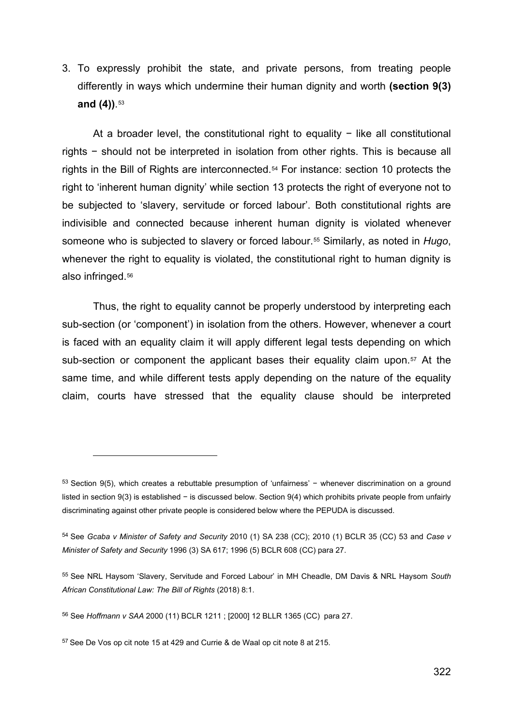3. To expressly prohibit the state, and private persons, from treating people differently in ways which undermine their human dignity and worth **(section 9(3) and (4))**. [53](#page-14-0)

At a broader level, the constitutional right to equality − like all constitutional rights − should not be interpreted in isolation from other rights. This is because all rights in the Bill of Rights are interconnected.[54](#page-14-1) For instance: section 10 protects the right to 'inherent human dignity' while section 13 protects the right of everyone not to be subjected to 'slavery, servitude or forced labour'. Both constitutional rights are indivisible and connected because inherent human dignity is violated whenever someone who is subjected to slavery or forced labour.[55](#page-14-2) Similarly, as noted in *Hugo*, whenever the right to equality is violated, the constitutional right to human dignity is also infringed.[56](#page-14-3)

Thus, the right to equality cannot be properly understood by interpreting each sub-section (or 'component') in isolation from the others. However, whenever a court is faced with an equality claim it will apply different legal tests depending on which sub-section or component the applicant bases their equality claim upon.<sup>[57](#page-14-4)</sup> At the same time, and while different tests apply depending on the nature of the equality claim, courts have stressed that the equality clause should be interpreted

<span id="page-14-0"></span><sup>53</sup> Section 9(5), which creates a rebuttable presumption of 'unfairness' − whenever discrimination on a ground listed in section 9(3) is established − is discussed below. Section 9(4) which prohibits private people from unfairly discriminating against other private people is considered below where the PEPUDA is discussed.

<span id="page-14-1"></span><sup>54</sup> See *Gcaba v Minister of Safety and Security* 2010 (1) SA 238 (CC); 2010 (1) BCLR 35 (CC) 53 and *Case v Minister of Safety and Security* 1996 (3) SA 617; 1996 (5) BCLR 608 (CC) para 27.

<span id="page-14-2"></span><sup>55</sup> See NRL Haysom 'Slavery, Servitude and Forced Labour' in MH Cheadle, DM Davis & NRL Haysom *South African Constitutional Law: The Bill of Rights* (2018) 8:1.

<span id="page-14-3"></span><sup>56</sup> See *Hoffmann v SAA* 2000 (11) BCLR 1211 ; [2000] 12 BLLR 1365 (CC) para 27.

<span id="page-14-4"></span><sup>57</sup> See De Vos op cit note 15 at 429 and Currie & de Waal op cit note 8 at 215.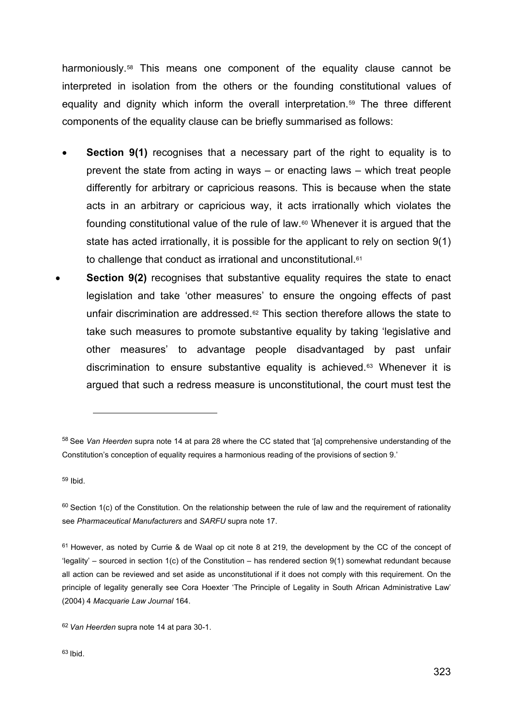harmoniously.[58](#page-15-0) This means one component of the equality clause cannot be interpreted in isolation from the others or the founding constitutional values of equality and dignity which inform the overall interpretation.<sup>[59](#page-15-1)</sup> The three different components of the equality clause can be briefly summarised as follows:

- **Section 9(1)** recognises that a necessary part of the right to equality is to prevent the state from acting in ways – or enacting laws – which treat people differently for arbitrary or capricious reasons. This is because when the state acts in an arbitrary or capricious way, it acts irrationally which violates the founding constitutional value of the rule of law.[60](#page-15-2) Whenever it is argued that the state has acted irrationally, it is possible for the applicant to rely on section 9(1) to challenge that conduct as irrational and unconstitutional.<sup>[61](#page-15-3)</sup>
- **Section 9(2)** recognises that substantive equality requires the state to enact legislation and take 'other measures' to ensure the ongoing effects of past unfair discrimination are addressed.<sup>[62](#page-15-4)</sup> This section therefore allows the state to take such measures to promote substantive equality by taking 'legislative and other measures' to advantage people disadvantaged by past unfair discrimination to ensure substantive equality is achieved.[63](#page-15-5) Whenever it is argued that such a redress measure is unconstitutional, the court must test the

<span id="page-15-1"></span><sup>59</sup> Ibid.

<span id="page-15-0"></span><sup>58</sup> See *Van Heerden* supra note 14 at para 28 where the CC stated that '[a] comprehensive understanding of the Constitution's conception of equality requires a harmonious reading of the provisions of section 9.'

<span id="page-15-2"></span> $60$  Section 1(c) of the Constitution. On the relationship between the rule of law and the requirement of rationality see *Pharmaceutical Manufacturers* and *SARFU* supra note 17.

<span id="page-15-3"></span> $61$  However, as noted by Currie & de Waal op cit note 8 at 219, the development by the CC of the concept of 'legality' – sourced in section 1(c) of the Constitution – has rendered section 9(1) somewhat redundant because all action can be reviewed and set aside as unconstitutional if it does not comply with this requirement. On the principle of legality generally see Cora Hoexter 'The Principle of Legality in South African Administrative Law' (2004) 4 *Macquarie Law Journal* 164.

<span id="page-15-5"></span><span id="page-15-4"></span><sup>62</sup> *Van Heerden* supra note 14 at para 30-1.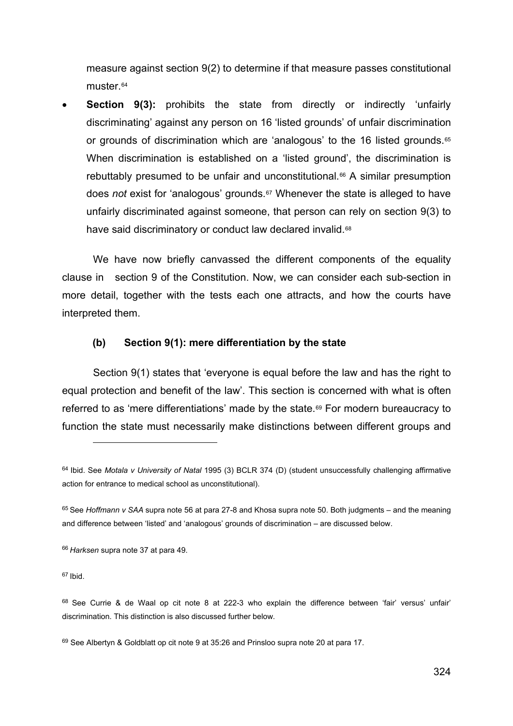measure against section 9(2) to determine if that measure passes constitutional muster.<sup>[64](#page-16-0)</sup>

**Section 9(3):** prohibits the state from directly or indirectly 'unfairly discriminating' against any person on 16 'listed grounds' of unfair discrimination or grounds of discrimination which are 'analogous' to the 16 listed grounds.[65](#page-16-1) When discrimination is established on a 'listed ground', the discrimination is rebuttably presumed to be unfair and unconstitutional.<sup>[66](#page-16-2)</sup> A similar presumption does *not* exist for 'analogous' grounds.[67](#page-16-3) Whenever the state is alleged to have unfairly discriminated against someone, that person can rely on section 9(3) to have said discriminatory or conduct law declared invalid.<sup>[68](#page-16-4)</sup>

We have now briefly canvassed the different components of the equality clause in section 9 of the Constitution. Now, we can consider each sub-section in more detail, together with the tests each one attracts, and how the courts have interpreted them.

#### **(b) Section 9(1): mere differentiation by the state**

Section 9(1) states that 'everyone is equal before the law and has the right to equal protection and benefit of the law'. This section is concerned with what is often referred to as 'mere differentiations' made by the state.<sup>[69](#page-16-5)</sup> For modern bureaucracy to function the state must necessarily make distinctions between different groups and

<span id="page-16-3"></span> $67$  Ibid.

<span id="page-16-0"></span><sup>64</sup> Ibid. See *Motala v University of Natal* 1995 (3) BCLR 374 (D) (student unsuccessfully challenging affirmative action for entrance to medical school as unconstitutional).

<span id="page-16-1"></span><sup>65</sup> See *Hoffmann v SAA* supra note 56 at para 27-8 and Khosa supra note 50. Both judgments – and the meaning and difference between 'listed' and 'analogous' grounds of discrimination – are discussed below.

<span id="page-16-2"></span><sup>66</sup> *Harksen* supra note 37 at para 49.

<span id="page-16-4"></span><sup>&</sup>lt;sup>68</sup> See Currie & de Waal op cit note 8 at 222-3 who explain the difference between 'fair' versus' unfair' discrimination. This distinction is also discussed further below.

<span id="page-16-5"></span><sup>69</sup> See Albertyn & Goldblatt op cit note 9 at 35:26 and Prinsloo supra note 20 at para 17.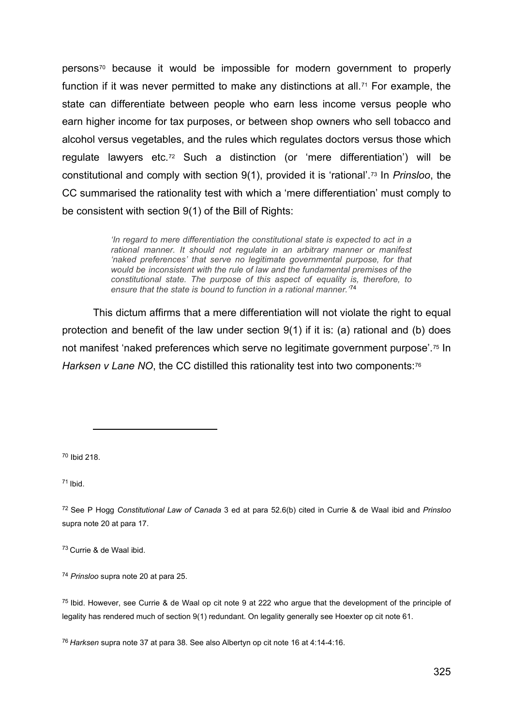persons[70](#page-17-0) because it would be impossible for modern government to properly function if it was never permitted to make any distinctions at all.<sup>[71](#page-17-1)</sup> For example, the state can differentiate between people who earn less income versus people who earn higher income for tax purposes, or between shop owners who sell tobacco and alcohol versus vegetables, and the rules which regulates doctors versus those which regulate lawyers etc.[72](#page-17-2) Such a distinction (or 'mere differentiation') will be constitutional and comply with section 9(1), provided it is 'rational'.[73](#page-17-3) In *Prinsloo*, the CC summarised the rationality test with which a 'mere differentiation' must comply to be consistent with section 9(1) of the Bill of Rights:

> *'In regard to mere differentiation the constitutional state is expected to act in a rational manner. It should not regulate in an arbitrary manner or manifest 'naked preferences' that serve no legitimate governmental purpose, for that would be inconsistent with the rule of law and the fundamental premises of the constitutional state. The purpose of this aspect of equality is, therefore, to ensure that the state is bound to function in a rational manner.'* [74](#page-17-4)

This dictum affirms that a mere differentiation will not violate the right to equal protection and benefit of the law under section 9(1) if it is: (a) rational and (b) does not manifest 'naked preferences which serve no legitimate government purpose'.[75](#page-17-5) In *Harksen v Lane NO*, the CC distilled this rationality test into two components:<sup>76</sup>

<span id="page-17-0"></span><sup>70</sup> Ibid 218.

<span id="page-17-1"></span> $71$  Ibid.

<span id="page-17-2"></span><sup>72</sup> See P Hogg *Constitutional Law of Canada* 3 ed at para 52.6(b) cited in Currie & de Waal ibid and *Prinsloo*  supra note 20 at para 17.

<span id="page-17-3"></span><sup>73</sup> Currie & de Waal ibid.

<span id="page-17-4"></span><sup>74</sup> *Prinsloo* supra note 20 at para 25.

<span id="page-17-5"></span><sup>75</sup> Ibid. However, see Currie & de Waal op cit note 9 at 222 who argue that the development of the principle of legality has rendered much of section 9(1) redundant. On legality generally see Hoexter op cit note 61.

<span id="page-17-6"></span><sup>76</sup> *Harksen* supra note 37 at para 38. See also Albertyn op cit note 16 at 4:14-4:16.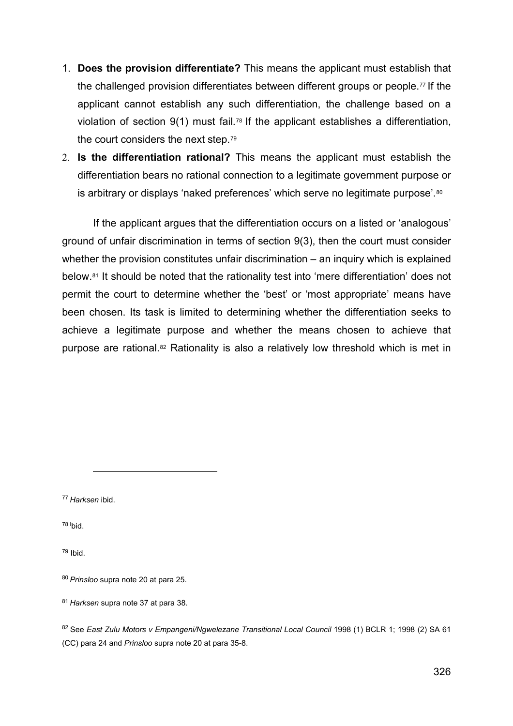- 1. **Does the provision differentiate?** This means the applicant must establish that the challenged provision differentiates between different groups or people.<sup>[77](#page-18-0)</sup> If the applicant cannot establish any such differentiation, the challenge based on a violation of section 9(1) must fail.[78](#page-18-1) If the applicant establishes a differentiation, the court considers the next step.[79](#page-18-2)
- 2. **Is the differentiation rational?** This means the applicant must establish the differentiation bears no rational connection to a legitimate government purpose or is arbitrary or displays 'naked preferences' which serve no legitimate purpose'.<sup>[80](#page-18-3)</sup>

If the applicant argues that the differentiation occurs on a listed or 'analogous' ground of unfair discrimination in terms of section 9(3), then the court must consider whether the provision constitutes unfair discrimination – an inquiry which is explained below.[81](#page-18-4) It should be noted that the rationality test into 'mere differentiation' does not permit the court to determine whether the 'best' or 'most appropriate' means have been chosen. Its task is limited to determining whether the differentiation seeks to achieve a legitimate purpose and whether the means chosen to achieve that purpose are rational.[82](#page-18-5) Rationality is also a relatively low threshold which is met in

<span id="page-18-0"></span><sup>77</sup> *Harksen* ibid.

<span id="page-18-1"></span><sup>78 I</sup>bid.

<span id="page-18-2"></span><sup>79</sup> Ibid.

<span id="page-18-4"></span><sup>81</sup> *Harksen* supra note 37 at para 38.

<span id="page-18-3"></span><sup>80</sup> *Prinsloo* supra note 20 at para 25.

<span id="page-18-5"></span><sup>82</sup> See *East Zulu Motors v Empangeni/Ngwelezane Transitional Local Council* 1998 (1) BCLR 1; 1998 (2) SA 61 (CC) para 24 and *Prinsloo* supra note 20 at para 35-8.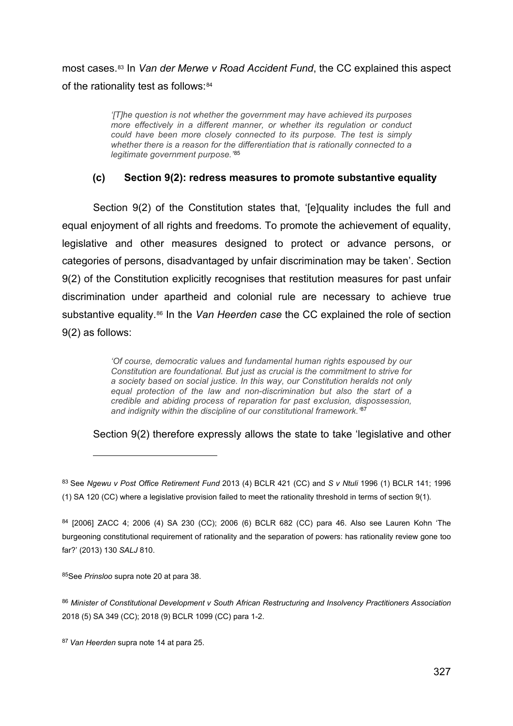most cases.[83](#page-19-0) In *Van der Merwe v Road Accident Fund*, the CC explained this aspect of the rationality test as follows: [84](#page-19-1)

> *'[T]he question is not whether the government may have achieved its purposes more effectively in a different manner, or whether its regulation or conduct could have been more closely connected to its purpose. The test is simply whether there is a reason for the differentiation that is rationally connected to a legitimate government purpose.'* [85](#page-19-2)

### **(c) Section 9(2): redress measures to promote substantive equality**

Section 9(2) of the Constitution states that, '[e]quality includes the full and equal enjoyment of all rights and freedoms. To promote the achievement of equality, legislative and other measures designed to protect or advance persons, or categories of persons, disadvantaged by unfair discrimination may be taken'. Section 9(2) of the Constitution explicitly recognises that restitution measures for past unfair discrimination under apartheid and colonial rule are necessary to achieve true substantive equality.[86](#page-19-3) In the *Van Heerden case* the CC explained the role of section 9(2) as follows:

> *'Of course, democratic values and fundamental human rights espoused by our Constitution are foundational. But just as crucial is the commitment to strive for a society based on social justice. In this way, our Constitution heralds not only equal protection of the law and non-discrimination but also the start of a credible and abiding process of reparation for past exclusion, dispossession, and indignity within the discipline of our constitutional framework.'* [87](#page-19-4)

Section 9(2) therefore expressly allows the state to take 'legislative and other

<span id="page-19-2"></span>85See *Prinsloo* supra note 20 at para 38.

<span id="page-19-3"></span><sup>86</sup> *Minister of Constitutional Development v South African Restructuring and Insolvency Practitioners Association* 2018 (5) SA 349 (CC); 2018 (9) BCLR 1099 (CC) para 1-2.

<span id="page-19-0"></span><sup>83</sup> See *Ngewu v Post Office Retirement Fund* 2013 (4) BCLR 421 (CC) and *S v Ntuli* 1996 (1) BCLR 141; 1996 (1) SA 120 (CC) where a legislative provision failed to meet the rationality threshold in terms of section 9(1).

<span id="page-19-1"></span><sup>84</sup> [2006] ZACC 4; 2006 (4) SA 230 (CC); 2006 (6) BCLR 682 (CC) para 46. Also see Lauren Kohn 'The burgeoning constitutional requirement of rationality and the separation of powers: has rationality review gone too far?' (2013) 130 *SALJ* 810.

<span id="page-19-4"></span><sup>87</sup> *Van Heerden* supra note 14 at para 25.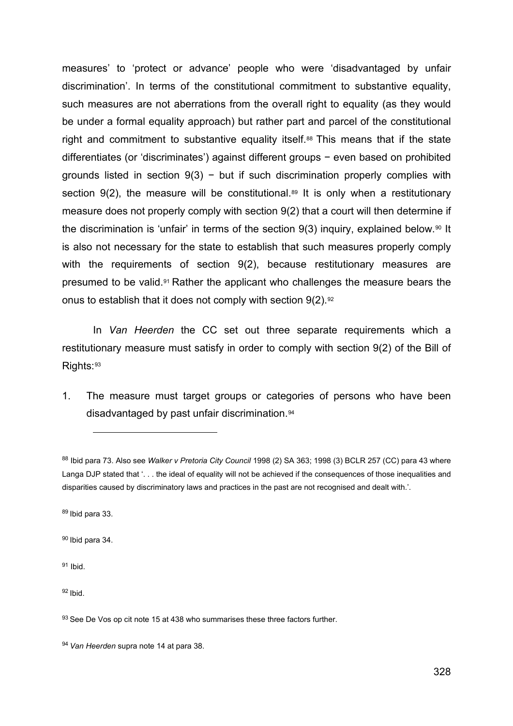measures' to 'protect or advance' people who were 'disadvantaged by unfair discrimination'. In terms of the constitutional commitment to substantive equality, such measures are not aberrations from the overall right to equality (as they would be under a formal equality approach) but rather part and parcel of the constitutional right and commitment to substantive equality itself.[88](#page-20-0) This means that if the state differentiates (or 'discriminates') against different groups − even based on prohibited grounds listed in section  $9(3)$  – but if such discrimination properly complies with section  $9(2)$ , the measure will be constitutional.<sup>[89](#page-20-1)</sup> It is only when a restitutionary measure does not properly comply with section 9(2) that a court will then determine if the discrimination is 'unfair' in terms of the section  $9(3)$  inquiry, explained below.<sup>[90](#page-20-2)</sup> It is also not necessary for the state to establish that such measures properly comply with the requirements of section 9(2), because restitutionary measures are presumed to be valid.[91](#page-20-3) Rather the applicant who challenges the measure bears the onus to establish that it does not comply with section  $9(2)$ . [92](#page-20-4)

In *Van Heerden* the CC set out three separate requirements which a restitutionary measure must satisfy in order to comply with section 9(2) of the Bill of Rights: [93](#page-20-5)

1. The measure must target groups or categories of persons who have been disadvantaged by past unfair discrimination.[94](#page-20-6)

<span id="page-20-3"></span><sup>91</sup> Ibid.

<span id="page-20-4"></span> $92$  Ibid.

<span id="page-20-0"></span><sup>88</sup> Ibid para 73. Also see *Walker v Pretoria City Council* 1998 (2) SA 363; 1998 (3) BCLR 257 (CC) para 43 where Langa DJP stated that '. . . the ideal of equality will not be achieved if the consequences of those inequalities and disparities caused by discriminatory laws and practices in the past are not recognised and dealt with.'.

<span id="page-20-1"></span><sup>89</sup> Ibid para 33.

<span id="page-20-2"></span><sup>90</sup> Ibid para 34.

<span id="page-20-5"></span><sup>93</sup> See De Vos op cit note 15 at 438 who summarises these three factors further.

<span id="page-20-6"></span><sup>94</sup> *Van Heerden* supra note 14 at para 38.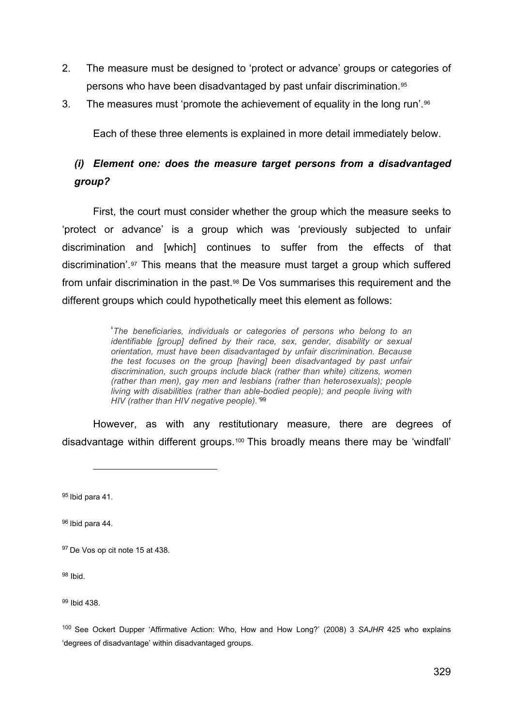- 2. The measure must be designed to 'protect or advance' groups or categories of persons who have been disadvantaged by past unfair discrimination.[95](#page-21-0)
- 3. The measures must 'promote the achievement of equality in the long run'.[96](#page-21-1)

Each of these three elements is explained in more detail immediately below.

### *(i) Element one: does the measure target persons from a disadvantaged group?*

First, the court must consider whether the group which the measure seeks to 'protect or advance' is a group which was 'previously subjected to unfair discrimination and [which] continues to suffer from the effects of that discrimination'.[97](#page-21-2) This means that the measure must target a group which suffered from unfair discrimination in the past.[98](#page-21-3) De Vos summarises this requirement and the different groups which could hypothetically meet this element as follows:

> '*The beneficiaries, individuals or categories of persons who belong to an identifiable [group] defined by their race, sex, gender, disability or sexual orientation, must have been disadvantaged by unfair discrimination. Because the test focuses on the group [having] been disadvantaged by past unfair discrimination, such groups include black (rather than white) citizens, women (rather than men), gay men and lesbians (rather than heterosexuals); people living with disabilities (rather than able-bodied people); and people living with HIV (rather than HIV negative people).'*[99](#page-21-4)

However, as with any restitutionary measure, there are degrees of disadvantage within different groups.[100](#page-21-5) This broadly means there may be 'windfall'

<span id="page-21-0"></span><sup>95</sup> Ibid para 41.

<span id="page-21-1"></span><sup>96</sup> Ibid para 44.

<span id="page-21-3"></span><sup>98</sup> Ibid.

<span id="page-21-4"></span><sup>99</sup> Ibid 438.

<span id="page-21-5"></span><sup>100</sup> See Ockert Dupper 'Affirmative Action: Who, How and How Long?' (2008) 3 *SAJHR* 425 who explains 'degrees of disadvantage' within disadvantaged groups.

<span id="page-21-2"></span><sup>97</sup> De Vos op cit note 15 at 438.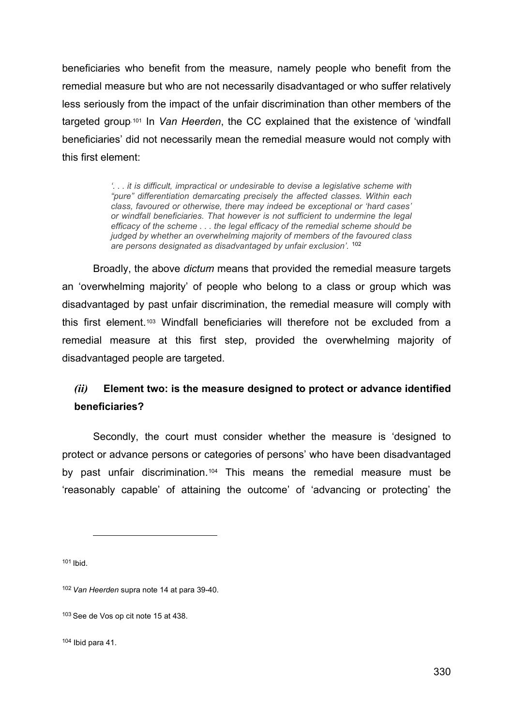beneficiaries who benefit from the measure, namely people who benefit from the remedial measure but who are not necessarily disadvantaged or who suffer relatively less seriously from the impact of the unfair discrimination than other members of the targeted group.[101](#page-22-0) In *Van Heerden*, the CC explained that the existence of 'windfall beneficiaries' did not necessarily mean the remedial measure would not comply with this first element:

> *'. . . it is difficult, impractical or undesirable to devise a legislative scheme with "pure" differentiation demarcating precisely the affected classes. Within each class, favoured or otherwise, there may indeed be exceptional or 'hard cases' or windfall beneficiaries. That however is not sufficient to undermine the legal efficacy of the scheme . . . the legal efficacy of the remedial scheme should be judged by whether an overwhelming majority of members of the favoured class are persons designated as disadvantaged by unfair exclusion'.* [102](#page-22-1)

Broadly, the above *dictum* means that provided the remedial measure targets an 'overwhelming majority' of people who belong to a class or group which was disadvantaged by past unfair discrimination, the remedial measure will comply with this first element.[103](#page-22-2) Windfall beneficiaries will therefore not be excluded from a remedial measure at this first step, provided the overwhelming majority of disadvantaged people are targeted.

## *(ii)* **Element two: is the measure designed to protect or advance identified beneficiaries?**

Secondly, the court must consider whether the measure is 'designed to protect or advance persons or categories of persons' who have been disadvantaged by past unfair discrimination.[104](#page-22-3) This means the remedial measure must be 'reasonably capable' of attaining the outcome' of 'advancing or protecting' the

<span id="page-22-0"></span><sup>101</sup> Ibid.

<span id="page-22-3"></span> $104$  Ibid para 41.

<span id="page-22-1"></span><sup>102</sup> *Van Heerden* supra note 14 at para 39-40.

<span id="page-22-2"></span><sup>103</sup> See de Vos op cit note 15 at 438.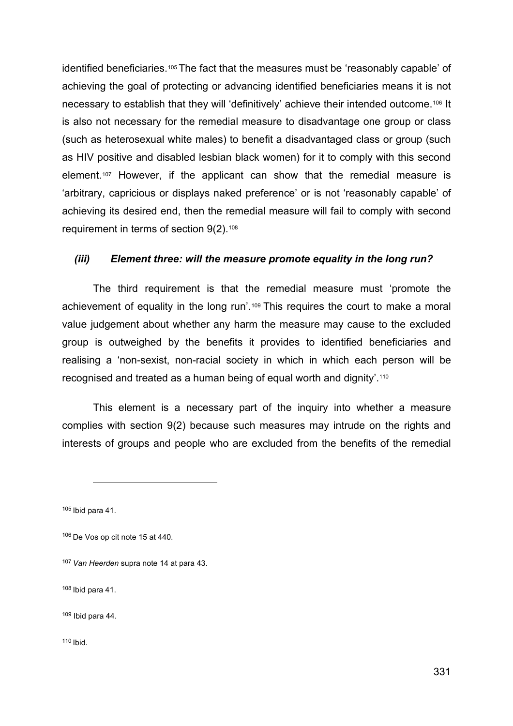identified beneficiaries.<sup>[105](#page-23-0)</sup> The fact that the measures must be 'reasonably capable' of achieving the goal of protecting or advancing identified beneficiaries means it is not necessary to establish that they will 'definitively' achieve their intended outcome.[106](#page-23-1) It is also not necessary for the remedial measure to disadvantage one group or class (such as heterosexual white males) to benefit a disadvantaged class or group (such as HIV positive and disabled lesbian black women) for it to comply with this second element.[107](#page-23-2) However, if the applicant can show that the remedial measure is 'arbitrary, capricious or displays naked preference' or is not 'reasonably capable' of achieving its desired end, then the remedial measure will fail to comply with second requirement in terms of section 9(2).[108](#page-23-3)

#### *(iii) Element three: will the measure promote equality in the long run?*

The third requirement is that the remedial measure must 'promote the achievement of equality in the long run'.[109](#page-23-4) This requires the court to make a moral value judgement about whether any harm the measure may cause to the excluded group is outweighed by the benefits it provides to identified beneficiaries and realising a 'non-sexist, non-racial society in which in which each person will be recognised and treated as a human being of equal worth and dignity'.[110](#page-23-5)

This element is a necessary part of the inquiry into whether a measure complies with section 9(2) because such measures may intrude on the rights and interests of groups and people who are excluded from the benefits of the remedial

<span id="page-23-5"></span> $110$  Ibid.

<span id="page-23-0"></span> $105$  Ibid para 41.

<span id="page-23-1"></span><sup>106</sup> De Vos op cit note 15 at 440.

<span id="page-23-2"></span><sup>107</sup> *Van Heerden* supra note 14 at para 43.

<span id="page-23-3"></span><sup>108</sup> Ibid para 41.

<span id="page-23-4"></span> $109$  Ibid para 44.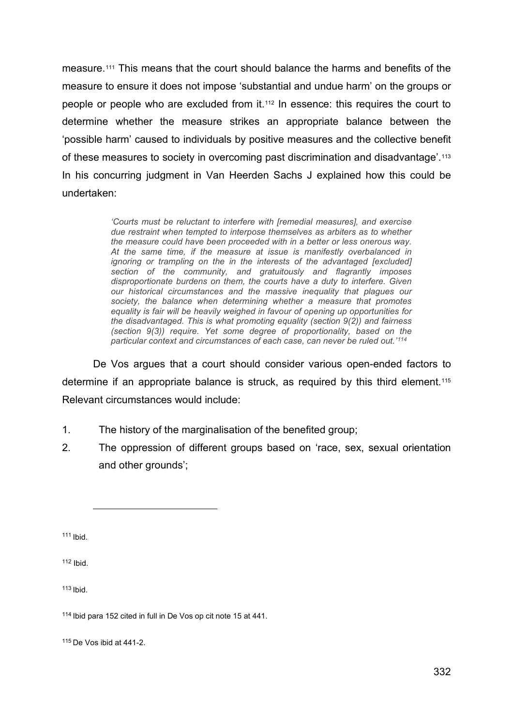measure.[111](#page-24-0) This means that the court should balance the harms and benefits of the measure to ensure it does not impose 'substantial and undue harm' on the groups or people or people who are excluded from it.[112](#page-24-1) In essence: this requires the court to determine whether the measure strikes an appropriate balance between the 'possible harm' caused to individuals by positive measures and the collective benefit of these measures to society in overcoming past discrimination and disadvantage'.[113](#page-24-2) In his concurring judgment in Van Heerden Sachs J explained how this could be undertaken:

> *'Courts must be reluctant to interfere with [remedial measures], and exercise due restraint when tempted to interpose themselves as arbiters as to whether the measure could have been proceeded with in a better or less onerous way. At the same time, if the measure at issue is manifestly overbalanced in ignoring or trampling on the in the interests of the advantaged [excluded] section of the community, and gratuitously and flagrantly imposes disproportionate burdens on them, the courts have a duty to interfere. Given our historical circumstances and the massive inequality that plagues our society, the balance when determining whether a measure that promotes equality is fair will be heavily weighed in favour of opening up opportunities for the disadvantaged. This is what promoting equality (section 9(2)) and fairness (section 9(3)) require. Yet some degree of proportionality, based on the particular context and circumstances of each case, can never be ruled out.' [114](#page-24-3)*

De Vos argues that a court should consider various open-ended factors to determine if an appropriate balance is struck, as required by this third element.[115](#page-24-4) Relevant circumstances would include:

- 1. The history of the marginalisation of the benefited group;
- 2. The oppression of different groups based on 'race, sex, sexual orientation and other grounds';

<span id="page-24-0"></span><sup>111</sup> Ibid.

<span id="page-24-1"></span><sup>112</sup> Ibid.

<span id="page-24-2"></span><sup>113</sup> Ibid.

<span id="page-24-3"></span><sup>114</sup> Ibid para 152 cited in full in De Vos op cit note 15 at 441.

<span id="page-24-4"></span><sup>115</sup> De Vos ibid at 441-2.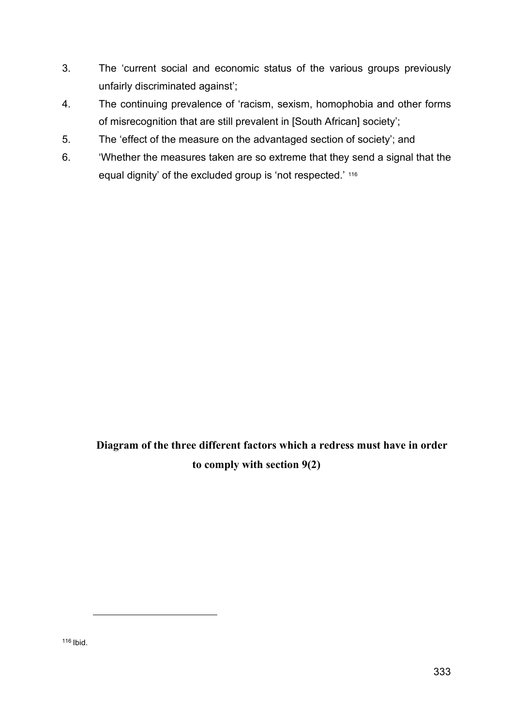- 3. The 'current social and economic status of the various groups previously unfairly discriminated against';
- 4. The continuing prevalence of 'racism, sexism, homophobia and other forms of misrecognition that are still prevalent in [South African] society';
- 5. The 'effect of the measure on the advantaged section of society'; and
- 6. 'Whether the measures taken are so extreme that they send a signal that the equal dignity' of the excluded group is 'not respected.' [116](#page-25-0)

**Diagram of the three different factors which a redress must have in order to comply with section 9(2)**

<span id="page-25-0"></span><sup>116</sup> Ibid.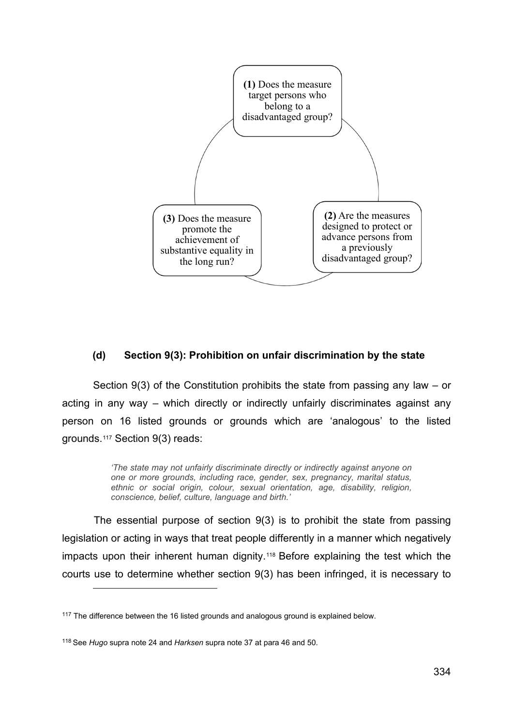

#### **(d) Section 9(3): Prohibition on unfair discrimination by the state**

Section 9(3) of the Constitution prohibits the state from passing any law – or acting in any way – which directly or indirectly unfairly discriminates against any person on 16 listed grounds or grounds which are 'analogous' to the listed grounds.[117](#page-26-0) Section 9(3) reads:

> *'The state may not unfairly discriminate directly or indirectly against anyone on one or more grounds, including race, gender, sex, pregnancy, marital status, ethnic or social origin, colour, sexual orientation, age, disability, religion, conscience, belief, culture, language and birth.'*

The essential purpose of section 9(3) is to prohibit the state from passing legislation or acting in ways that treat people differently in a manner which negatively impacts upon their inherent human dignity.[118](#page-26-1) Before explaining the test which the courts use to determine whether section 9(3) has been infringed, it is necessary to

<span id="page-26-0"></span><sup>&</sup>lt;sup>117</sup> The difference between the 16 listed grounds and analogous ground is explained below.

<span id="page-26-1"></span><sup>118</sup> See *Hugo* supra note 24 and *Harksen* supra note 37 at para 46 and 50.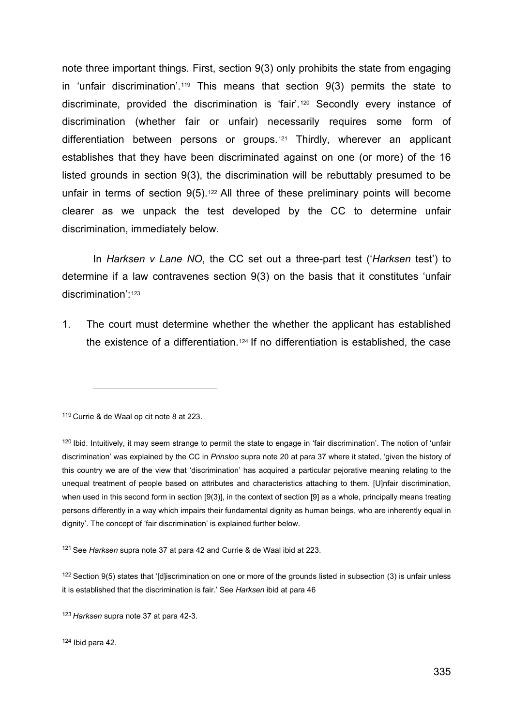note three important things. First, section 9(3) only prohibits the state from engaging in 'unfair discrimination'.[119](#page-27-0) This means that section 9(3) permits the state to discriminate, provided the discrimination is 'fair'.[120](#page-27-1) Secondly every instance of discrimination (whether fair or unfair) necessarily requires some form of differentiation between persons or groups.[121](#page-27-2) Thirdly, wherever an applicant establishes that they have been discriminated against on one (or more) of the 16 listed grounds in section 9(3), the discrimination will be rebuttably presumed to be unfair in terms of section  $9(5)$ .<sup>[122](#page-27-3)</sup> All three of these preliminary points will become clearer as we unpack the test developed by the CC to determine unfair discrimination, immediately below.

In *Harksen v Lane NO*, the CC set out a three-part test ('*Harksen* test') to determine if a law contravenes section 9(3) on the basis that it constitutes 'unfair discrimination':[123](#page-27-4)

1. The court must determine whether the whether the applicant has established the existence of a differentiation.[124](#page-27-5) If no differentiation is established, the case

<span id="page-27-0"></span><sup>119</sup> Currie & de Waal op cit note 8 at 223.

<span id="page-27-2"></span><sup>121</sup> See *Harksen* supra note 37 at para 42 and Currie & de Waal ibid at 223.

<span id="page-27-3"></span> $122$  Section 9(5) states that '[d]iscrimination on one or more of the grounds listed in subsection (3) is unfair unless it is established that the discrimination is fair.' See *Harksen* ibid at para 46

<span id="page-27-5"></span><sup>124</sup> Ibid para 42.

<span id="page-27-1"></span><sup>&</sup>lt;sup>120</sup> Ibid. Intuitively, it may seem strange to permit the state to engage in 'fair discrimination'. The notion of 'unfair discrimination' was explained by the CC in *Prinsloo* supra note 20 at para 37 where it stated, 'given the history of this country we are of the view that 'discrimination' has acquired a particular pejorative meaning relating to the unequal treatment of people based on attributes and characteristics attaching to them. [U]nfair discrimination, when used in this second form in section [9(3)], in the context of section [9] as a whole, principally means treating persons differently in a way which impairs their fundamental dignity as human beings, who are inherently equal in dignity'. The concept of 'fair discrimination' is explained further below.

<span id="page-27-4"></span><sup>123</sup> *Harksen* supra note 37 at para 42-3.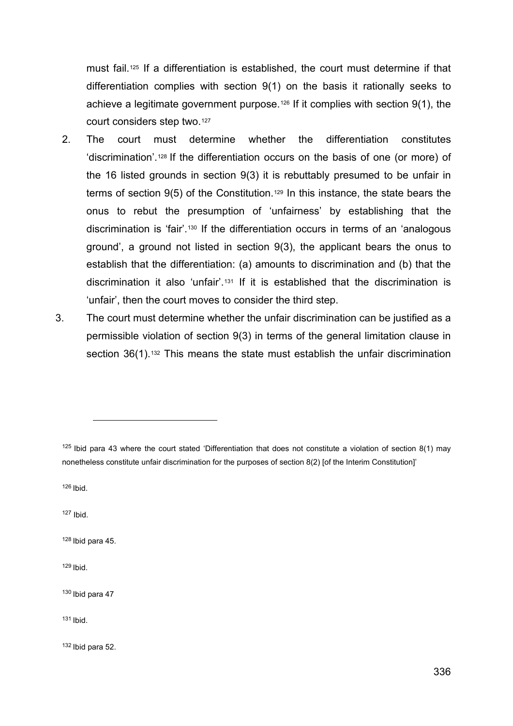must fail[.125](#page-28-0) If a differentiation is established, the court must determine if that differentiation complies with section 9(1) on the basis it rationally seeks to achieve a legitimate government purpose.[126](#page-28-1) If it complies with section 9(1), the court considers step two.[127](#page-28-2)

- 2. The court must determine whether the differentiation constitutes 'discrimination'.[128](#page-28-3) If the differentiation occurs on the basis of one (or more) of the 16 listed grounds in section 9(3) it is rebuttably presumed to be unfair in terms of section 9(5) of the Constitution.[129](#page-28-4) In this instance, the state bears the onus to rebut the presumption of 'unfairness' by establishing that the discrimination is 'fair'.[130](#page-28-5) If the differentiation occurs in terms of an 'analogous ground', a ground not listed in section 9(3), the applicant bears the onus to establish that the differentiation: (a) amounts to discrimination and (b) that the discrimination it also 'unfair'.[131](#page-28-6) If it is established that the discrimination is 'unfair', then the court moves to consider the third step.
- 3. The court must determine whether the unfair discrimination can be justified as a permissible violation of section 9(3) in terms of the general limitation clause in section 36(1).<sup>[132](#page-28-7)</sup> This means the state must establish the unfair discrimination

<span id="page-28-1"></span> $126$  Ibid.

<span id="page-28-2"></span><sup>127</sup> Ibid.

<span id="page-28-3"></span><sup>128</sup> Ibid para 45.

<span id="page-28-4"></span> $129$  Ibid.

<span id="page-28-5"></span><sup>130</sup> Ibid para 47

<span id="page-28-6"></span><sup>131</sup> Ibid.

<span id="page-28-7"></span><sup>132</sup> Ibid para 52.

<span id="page-28-0"></span> $125$  Ibid para 43 where the court stated 'Differentiation that does not constitute a violation of section 8(1) may nonetheless constitute unfair discrimination for the purposes of section 8(2) [of the Interim Constitution]'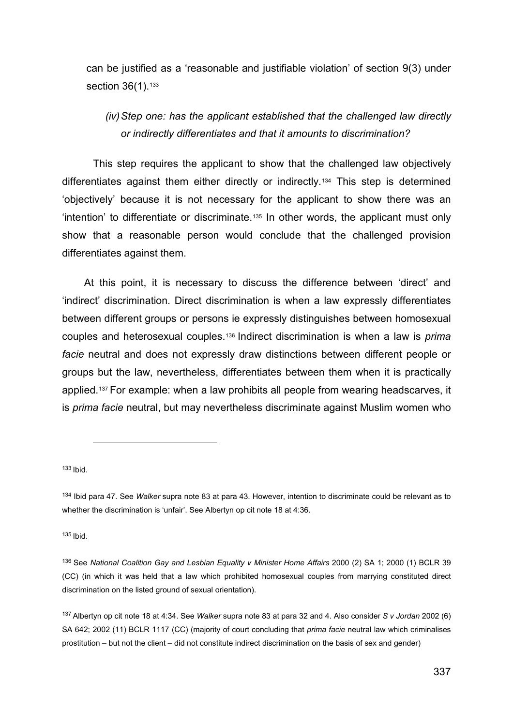can be justified as a 'reasonable and justifiable violation' of section 9(3) under section 36(1).<sup>[133](#page-29-0)</sup>

## *(iv)Step one: has the applicant established that the challenged law directly or indirectly differentiates and that it amounts to discrimination?*

This step requires the applicant to show that the challenged law objectively differentiates against them either directly or indirectly.[134](#page-29-1) This step is determined 'objectively' because it is not necessary for the applicant to show there was an 'intention' to differentiate or discriminate.[135](#page-29-2) In other words, the applicant must only show that a reasonable person would conclude that the challenged provision differentiates against them.

At this point, it is necessary to discuss the difference between 'direct' and 'indirect' discrimination. Direct discrimination is when a law expressly differentiates between different groups or persons ie expressly distinguishes between homosexual couples and heterosexual couples.[136](#page-29-3) Indirect discrimination is when a law is *prima facie* neutral and does not expressly draw distinctions between different people or groups but the law, nevertheless, differentiates between them when it is practically applied.[137](#page-29-4) For example: when a law prohibits all people from wearing headscarves, it is *prima facie* neutral, but may nevertheless discriminate against Muslim women who

<span id="page-29-0"></span><sup>133</sup> Ibid.

<span id="page-29-2"></span><sup>135</sup> Ibid.

<span id="page-29-1"></span><sup>134</sup> Ibid para 47. See *Walker* supra note 83 at para 43. However, intention to discriminate could be relevant as to whether the discrimination is 'unfair'. See Albertyn op cit note 18 at 4:36.

<span id="page-29-3"></span><sup>136</sup> See *National Coalition Gay and Lesbian Equality v Minister Home Affairs* 2000 (2) SA 1; 2000 (1) BCLR 39 (CC) (in which it was held that a law which prohibited homosexual couples from marrying constituted direct discrimination on the listed ground of sexual orientation).

<span id="page-29-4"></span><sup>137</sup> Albertyn op cit note 18 at 4:34. See *Walker* supra note 83 at para 32 and 4. Also consider *S v Jordan* 2002 (6) SA 642; 2002 (11) BCLR 1117 (CC) (majority of court concluding that *prima facie* neutral law which criminalises prostitution – but not the client – did not constitute indirect discrimination on the basis of sex and gender)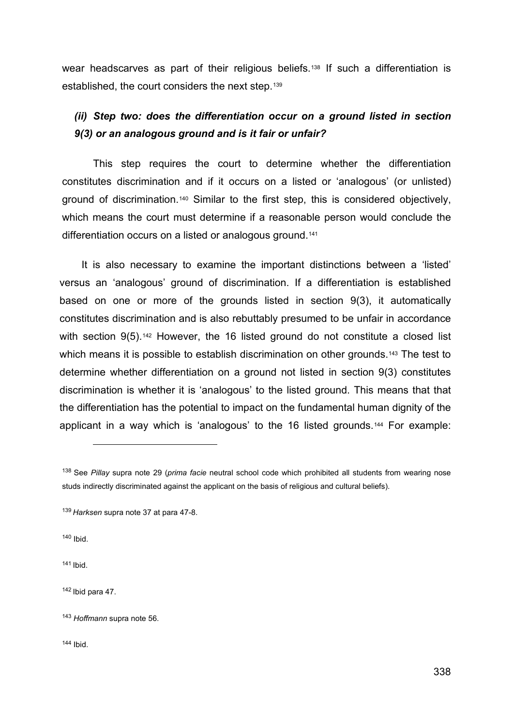wear headscarves as part of their religious beliefs.[138](#page-30-0) If such a differentiation is established, the court considers the next step.[139](#page-30-1)

## *(ii) Step two: does the differentiation occur on a ground listed in section 9(3) or an analogous ground and is it fair or unfair?*

This step requires the court to determine whether the differentiation constitutes discrimination and if it occurs on a listed or 'analogous' (or unlisted) ground of discrimination.[140](#page-30-2) Similar to the first step, this is considered objectively, which means the court must determine if a reasonable person would conclude the differentiation occurs on a listed or analogous ground.<sup>[141](#page-30-3)</sup>

It is also necessary to examine the important distinctions between a 'listed' versus an 'analogous' ground of discrimination. If a differentiation is established based on one or more of the grounds listed in section 9(3), it automatically constitutes discrimination and is also rebuttably presumed to be unfair in accordance with section 9(5).<sup>[142](#page-30-4)</sup> However, the 16 listed ground do not constitute a closed list which means it is possible to establish discrimination on other grounds.<sup>[143](#page-30-5)</sup> The test to determine whether differentiation on a ground not listed in section 9(3) constitutes discrimination is whether it is 'analogous' to the listed ground. This means that that the differentiation has the potential to impact on the fundamental human dignity of the applicant in a way which is 'analogous' to the 16 listed grounds.[144](#page-30-6) For example:

<span id="page-30-2"></span><sup>140</sup> Ibid.

<span id="page-30-3"></span><sup>141</sup> Ibid.

<span id="page-30-4"></span><sup>142</sup> Ibid para 47.

<span id="page-30-6"></span><sup>144</sup> Ibid.

<span id="page-30-0"></span><sup>138</sup> See *Pillay* supra note 29 (*prima facie* neutral school code which prohibited all students from wearing nose studs indirectly discriminated against the applicant on the basis of religious and cultural beliefs).

<span id="page-30-1"></span><sup>139</sup> *Harksen* supra note 37 at para 47-8.

<span id="page-30-5"></span><sup>143</sup> *Hoffmann* supra note 56.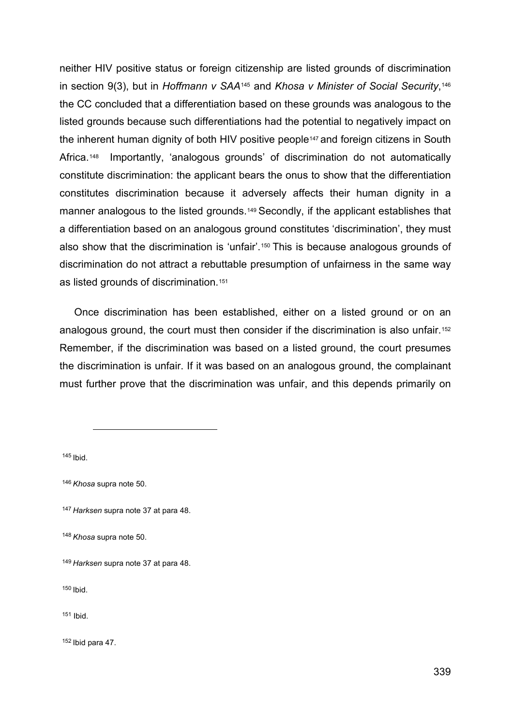neither HIV positive status or foreign citizenship are listed grounds of discrimination in section 9(3), but in *Hoffmann v SAA*[145](#page-31-0) and *Khosa v Minister of Social Security*,[146](#page-31-1) the CC concluded that a differentiation based on these grounds was analogous to the listed grounds because such differentiations had the potential to negatively impact on the inherent human dignity of both HIV positive people<sup>[147](#page-31-2)</sup> and foreign citizens in South Africa.<sup>[148](#page-31-3)</sup> Importantly, 'analogous grounds' of discrimination do not automatically constitute discrimination: the applicant bears the onus to show that the differentiation constitutes discrimination because it adversely affects their human dignity in a manner analogous to the listed grounds.<sup>[149](#page-31-4)</sup> Secondly, if the applicant establishes that a differentiation based on an analogous ground constitutes 'discrimination', they must also show that the discrimination is 'unfair'.[150](#page-31-5) This is because analogous grounds of discrimination do not attract a rebuttable presumption of unfairness in the same way as listed grounds of discrimination.[151](#page-31-6)

Once discrimination has been established, either on a listed ground or on an analogous ground, the court must then consider if the discrimination is also unfair.[152](#page-31-7) Remember, if the discrimination was based on a listed ground, the court presumes the discrimination is unfair. If it was based on an analogous ground, the complainant must further prove that the discrimination was unfair, and this depends primarily on

<span id="page-31-0"></span><sup>145</sup> Ibid.

<span id="page-31-5"></span><sup>150</sup> Ibid.

<span id="page-31-6"></span><sup>151</sup> Ibid.

<span id="page-31-7"></span><sup>152</sup> Ibid para 47.

<span id="page-31-1"></span><sup>146</sup> *Khosa* supra note 50.

<span id="page-31-2"></span><sup>147</sup> *Harksen* supra note 37 at para 48.

<span id="page-31-3"></span><sup>148</sup> *Khosa* supra note 50.

<span id="page-31-4"></span><sup>149</sup> *Harksen* supra note 37 at para 48.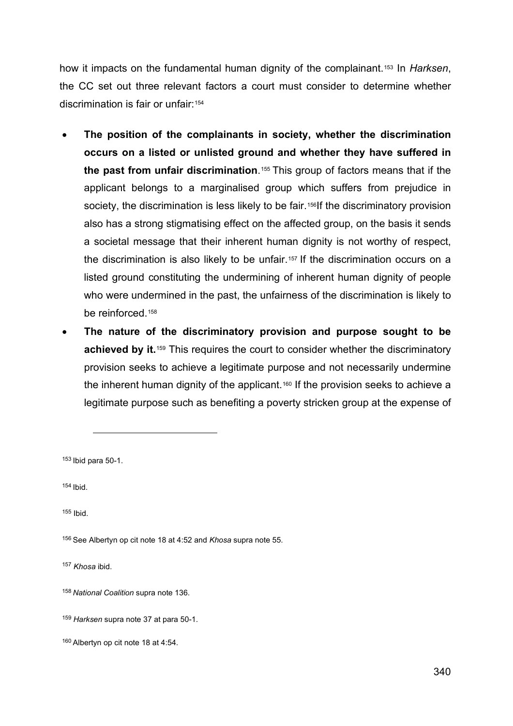how it impacts on the fundamental human dignity of the complainant.[153](#page-32-0) In *Harksen*, the CC set out three relevant factors a court must consider to determine whether discrimination is fair or unfair:[154](#page-32-1)

- **The position of the complainants in society, whether the discrimination occurs on a listed or unlisted ground and whether they have suffered in the past from unfair discrimination**.[155](#page-32-2) This group of factors means that if the applicant belongs to a marginalised group which suffers from prejudice in society, the discrimination is less likely to be fair.<sup>[156](#page-32-3)</sup>If the discriminatory provision also has a strong stigmatising effect on the affected group, on the basis it sends a societal message that their inherent human dignity is not worthy of respect, the discrimination is also likely to be unfair.<sup>[157](#page-32-4)</sup> If the discrimination occurs on a listed ground constituting the undermining of inherent human dignity of people who were undermined in the past, the unfairness of the discrimination is likely to be reinforced.<sup>[158](#page-32-5)</sup>
- **The nature of the discriminatory provision and purpose sought to be**  achieved by it.<sup>[159](#page-32-6)</sup> This requires the court to consider whether the discriminatory provision seeks to achieve a legitimate purpose and not necessarily undermine the inherent human dignity of the applicant.<sup>[160](#page-32-7)</sup> If the provision seeks to achieve a legitimate purpose such as benefiting a poverty stricken group at the expense of

<span id="page-32-0"></span><sup>153</sup> Ibid para 50-1.

<span id="page-32-1"></span><sup>154</sup> Ibid.

<span id="page-32-2"></span><sup>155</sup> Ibid.

<span id="page-32-4"></span><sup>157</sup> *Khosa* ibid.

<span id="page-32-3"></span><sup>156</sup> See Albertyn op cit note 18 at 4:52 and *Khosa* supra note 55.

<span id="page-32-5"></span><sup>158</sup> *National Coalition* supra note 136.

<span id="page-32-6"></span><sup>159</sup> *Harksen* supra note 37 at para 50-1.

<span id="page-32-7"></span><sup>160</sup> Albertyn op cit note 18 at 4:54.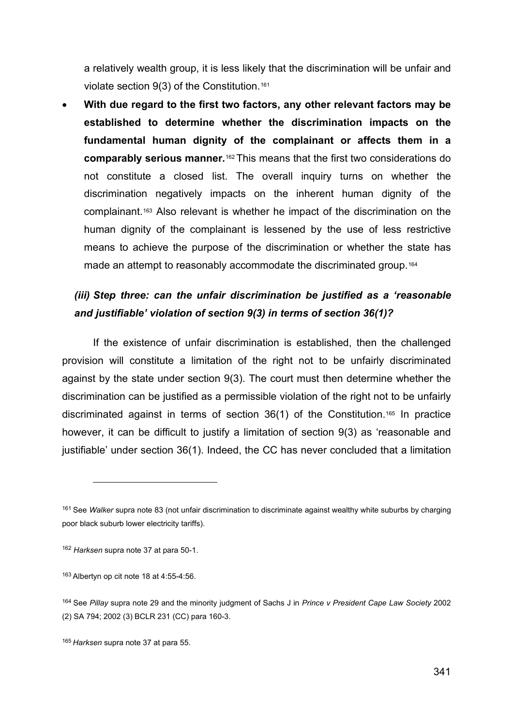a relatively wealth group, it is less likely that the discrimination will be unfair and violate section 9(3) of the Constitution.[161](#page-33-0)

• **With due regard to the first two factors, any other relevant factors may be established to determine whether the discrimination impacts on the fundamental human dignity of the complainant or affects them in a comparably serious manner***.*[162](#page-33-1) This means that the first two considerations do not constitute a closed list. The overall inquiry turns on whether the discrimination negatively impacts on the inherent human dignity of the complainant.[163](#page-33-2) Also relevant is whether he impact of the discrimination on the human dignity of the complainant is lessened by the use of less restrictive means to achieve the purpose of the discrimination or whether the state has made an attempt to reasonably accommodate the discriminated group.<sup>[164](#page-33-3)</sup>

## *(iii) Step three: can the unfair discrimination be justified as a 'reasonable and justifiable' violation of section 9(3) in terms of section 36(1)?*

If the existence of unfair discrimination is established, then the challenged provision will constitute a limitation of the right not to be unfairly discriminated against by the state under section 9(3). The court must then determine whether the discrimination can be justified as a permissible violation of the right not to be unfairly discriminated against in terms of section 36(1) of the Constitution[.165](#page-33-4) In practice however, it can be difficult to justify a limitation of section 9(3) as 'reasonable and justifiable' under section 36(1). Indeed, the CC has never concluded that a limitation

<span id="page-33-0"></span><sup>161</sup> See *Walker* supra note 83 (not unfair discrimination to discriminate against wealthy white suburbs by charging poor black suburb lower electricity tariffs).

<span id="page-33-1"></span><sup>162</sup> *Harksen* supra note 37 at para 50-1.

<span id="page-33-2"></span><sup>163</sup> Albertyn op cit note 18 at 4:55-4:56.

<span id="page-33-3"></span><sup>164</sup> See *Pillay* supra note 29 and the minority judgment of Sachs J in *Prince v President Cape Law Society* 2002 (2) SA 794; 2002 (3) BCLR 231 (CC) para 160-3.

<span id="page-33-4"></span><sup>165</sup> *Harksen* supra note 37 at para 55.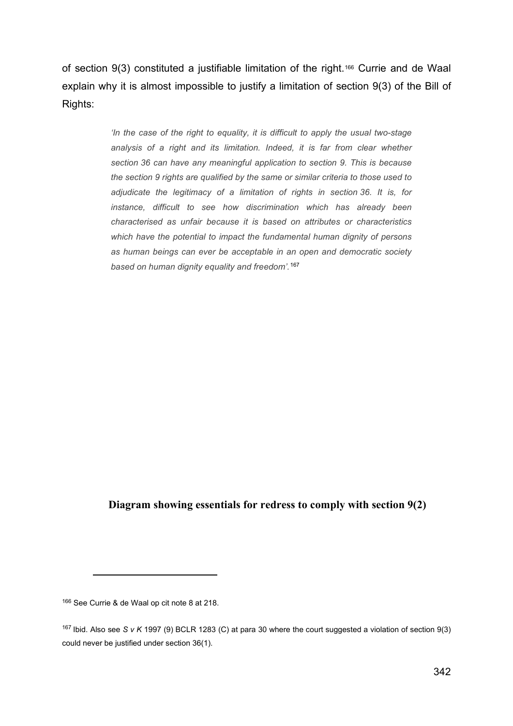of section 9(3) constituted a justifiable limitation of the right.[166](#page-34-0) Currie and de Waal explain why it is almost impossible to justify a limitation of section 9(3) of the Bill of Rights:

> *'In the case of the right to equality, it is difficult to apply the usual two-stage analysis of a right and its limitation. Indeed, it is far from clear whether section 36 can have any meaningful application to section 9. This is because the section 9 rights are qualified by the same or similar criteria to those used to adjudicate the legitimacy of a limitation of rights in section 36. It is, for instance, difficult to see how discrimination which has already been characterised as unfair because it is based on attributes or characteristics which have the potential to impact the fundamental human dignity of persons as human beings can ever be acceptable in an open and democratic society based on human dignity equality and freedom'.*[167](#page-34-1)

#### **Diagram showing essentials for redress to comply with section 9(2)**

<span id="page-34-0"></span><sup>166</sup> See Currie & de Waal op cit note 8 at 218.

<span id="page-34-1"></span><sup>167</sup> Ibid. Also see *S v K* 1997 (9) BCLR 1283 (C) at para 30 where the court suggested a violation of section 9(3) could never be justified under section 36(1).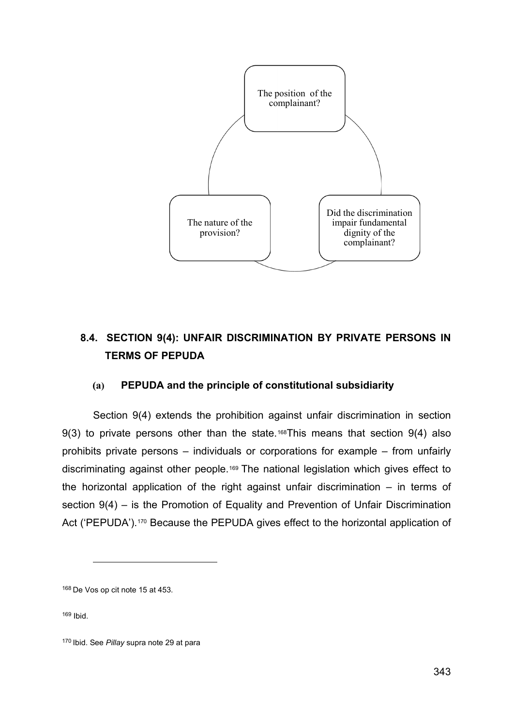

## **8.4. SECTION 9(4): UNFAIR DISCRIMINATION BY PRIVATE PERSONS IN TERMS OF PEPUDA**

### **(a) PEPUDA and the principle of constitutional subsidiarity**

Section 9(4) extends the prohibition against unfair discrimination in section  $9(3)$  to private persons other than the state.<sup>168</sup>This means that section  $9(4)$  also prohibits private persons – individuals or corporations for example – from unfairly discriminating against other people.[169](#page-35-1) The national legislation which gives effect to the horizontal application of the right against unfair discrimination – in terms of section 9(4) – is the Promotion of Equality and Prevention of Unfair Discrimination Act ('PEPUDA').<sup>170</sup> Because the PEPUDA gives effect to the horizontal application of

<span id="page-35-0"></span><sup>168</sup> De Vos op cit note 15 at 453.

<span id="page-35-1"></span><sup>169</sup> Ibid.

<span id="page-35-2"></span><sup>170</sup> Ibid. See *Pillay* supra note 29 at para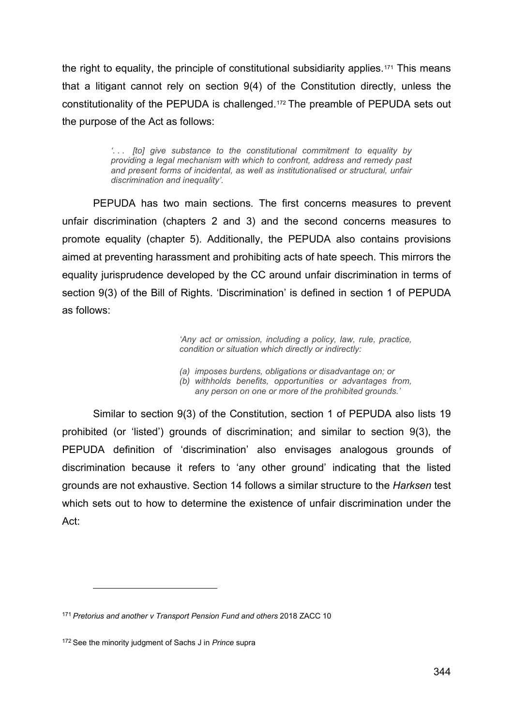the right to equality, the principle of constitutional subsidiarity applies.<sup>[171](#page-36-0)</sup> This means that a litigant cannot rely on section 9(4) of the Constitution directly, unless the constitutionality of the PEPUDA is challenged.[172](#page-36-1) The preamble of PEPUDA sets out the purpose of the Act as follows:

> *'. . . [to] give substance to the constitutional commitment to equality by providing a legal mechanism with which to confront, address and remedy past and present forms of incidental, as well as institutionalised or structural, unfair discrimination and inequality'.*

PEPUDA has two main sections. The first concerns measures to prevent unfair discrimination (chapters 2 and 3) and the second concerns measures to promote equality (chapter 5). Additionally, the PEPUDA also contains provisions aimed at preventing harassment and prohibiting acts of hate speech. This mirrors the equality jurisprudence developed by the CC around unfair discrimination in terms of section 9(3) of the Bill of Rights. 'Discrimination' is defined in section 1 of PEPUDA as follows:

> *'Any act or omission, including a policy, law, rule, practice, condition or situation which directly or indirectly:*

*(a) imposes burdens, obligations or disadvantage on; or*

*(b) withholds benefits, opportunities or advantages from, any person on one or more of the prohibited grounds.'*

Similar to section 9(3) of the Constitution, section 1 of PEPUDA also lists 19 prohibited (or 'listed') grounds of discrimination; and similar to section 9(3), the PEPUDA definition of 'discrimination' also envisages analogous grounds of discrimination because it refers to 'any other ground' indicating that the listed grounds are not exhaustive. Section 14 follows a similar structure to the *Harksen* test which sets out to how to determine the existence of unfair discrimination under the Act:

<span id="page-36-0"></span><sup>171</sup> *Pretorius and another v Transport Pension Fund and others* 2018 ZACC 10

<span id="page-36-1"></span><sup>172</sup> See the minority judgment of Sachs J in *Prince* supra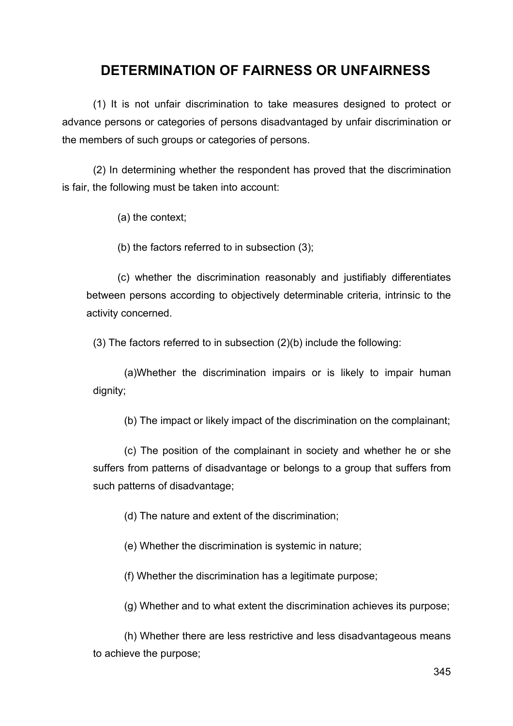## **DETERMINATION OF FAIRNESS OR UNFAIRNESS**

(1) It is not unfair discrimination to take measures designed to protect or advance persons or categories of persons disadvantaged by unfair discrimination or the members of such groups or categories of persons.

(2) In determining whether the respondent has proved that the discrimination is fair, the following must be taken into account:

(a) the context;

(b) the factors referred to in subsection (3);

(c) whether the discrimination reasonably and justifiably differentiates between persons according to objectively determinable criteria, intrinsic to the activity concerned.

(3) The factors referred to in subsection (2)(b) include the following:

(a)Whether the discrimination impairs or is likely to impair human dignity;

(b) The impact or likely impact of the discrimination on the complainant;

(c) The position of the complainant in society and whether he or she suffers from patterns of disadvantage or belongs to a group that suffers from such patterns of disadvantage;

(d) The nature and extent of the discrimination;

(e) Whether the discrimination is systemic in nature;

(f) Whether the discrimination has a legitimate purpose;

(g) Whether and to what extent the discrimination achieves its purpose;

(h) Whether there are less restrictive and less disadvantageous means to achieve the purpose;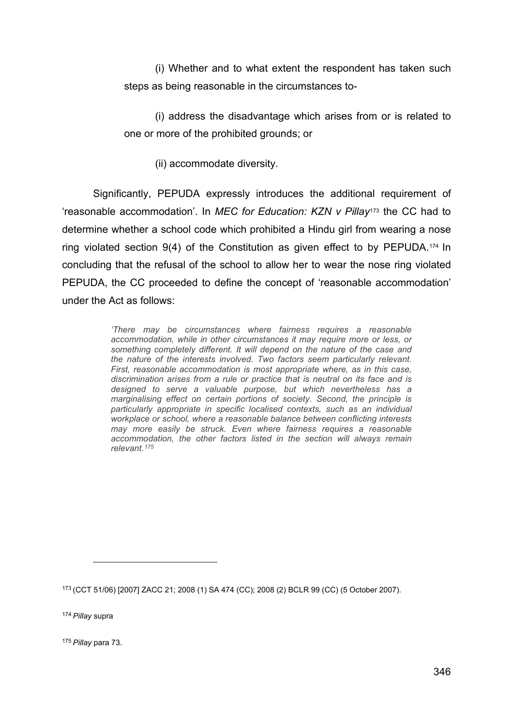(i) Whether and to what extent the respondent has taken such steps as being reasonable in the circumstances to-

(i) address the disadvantage which arises from or is related to one or more of the prohibited grounds; or

(ii) accommodate diversity.

Significantly, PEPUDA expressly introduces the additional requirement of 'reasonable accommodation'. In *MEC for Education: KZN v Pillay*[173](#page-38-0) the CC had to determine whether a school code which prohibited a Hindu girl from wearing a nose ring violated section 9(4) of the Constitution as given effect to by PEPUDA.[174](#page-38-1) In concluding that the refusal of the school to allow her to wear the nose ring violated PEPUDA, the CC proceeded to define the concept of 'reasonable accommodation' under the Act as follows:

> *'There may be circumstances where fairness requires a reasonable accommodation, while in other circumstances it may require more or less, or something completely different. It will depend on the nature of the case and the nature of the interests involved. Two factors seem particularly relevant. First, reasonable accommodation is most appropriate where, as in this case, discrimination arises from a rule or practice that is neutral on its face and is designed to serve a valuable purpose, but which nevertheless has a marginalising effect on certain portions of society. Second, the principle is particularly appropriate in specific localised contexts, such as an individual workplace or school, where a reasonable balance between conflicting interests may more easily be struck. Even where fairness requires a reasonable accommodation, the other factors listed in the section will always remain relevant.[175](#page-38-2)*

<span id="page-38-1"></span><sup>174</sup> *Pillay* supra

<span id="page-38-2"></span><sup>175</sup> *Pillay* para 73.

<span id="page-38-0"></span><sup>173</sup> (CCT 51/06) [2007] ZACC 21; 2008 (1) SA 474 (CC); 2008 (2) BCLR 99 (CC) (5 October 2007).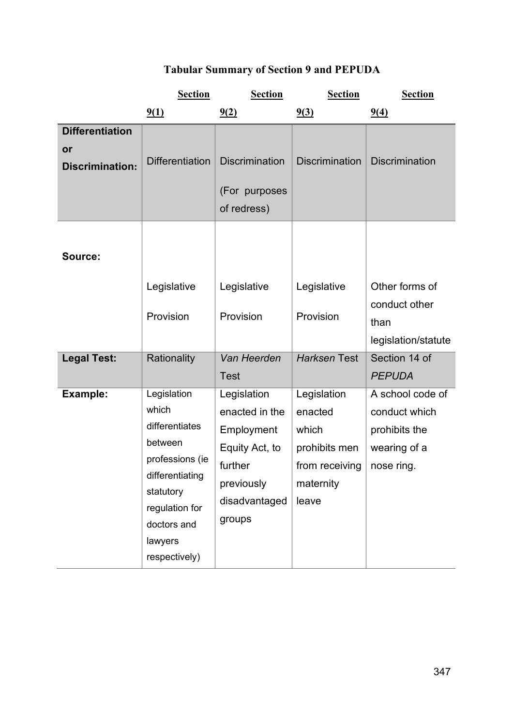# **Tabular Summary of Section 9 and PEPUDA**

|                                                        | <b>Section</b>                                                                                                                                                    | <b>Section</b>                                                                                                    | <b>Section</b>                                                                           | <b>Section</b>                                                                   |
|--------------------------------------------------------|-------------------------------------------------------------------------------------------------------------------------------------------------------------------|-------------------------------------------------------------------------------------------------------------------|------------------------------------------------------------------------------------------|----------------------------------------------------------------------------------|
|                                                        | 9(1)                                                                                                                                                              | 9(2)                                                                                                              | 9(3)                                                                                     | 9(4)                                                                             |
| <b>Differentiation</b><br>or<br><b>Discrimination:</b> | <b>Differentiation</b>                                                                                                                                            | <b>Discrimination</b><br>(For purposes<br>of redress)                                                             | <b>Discrimination</b>                                                                    | <b>Discrimination</b>                                                            |
| Source:                                                | Legislative<br>Provision                                                                                                                                          | Legislative<br>Provision                                                                                          | Legislative<br>Provision                                                                 | Other forms of<br>conduct other<br>than<br>legislation/statute                   |
| <b>Legal Test:</b>                                     | Rationality                                                                                                                                                       | Van Heerden<br><b>Test</b>                                                                                        | <b>Harksen Test</b>                                                                      | Section 14 of<br><b>PEPUDA</b>                                                   |
| Example:                                               | Legislation<br>which<br>differentiates<br>between<br>professions (ie<br>differentiating<br>statutory<br>regulation for<br>doctors and<br>lawyers<br>respectively) | Legislation<br>enacted in the<br>Employment<br>Equity Act, to<br>further<br>previously<br>disadvantaged<br>groups | Legislation<br>enacted<br>which<br>prohibits men<br>from receiving<br>maternity<br>leave | A school code of<br>conduct which<br>prohibits the<br>wearing of a<br>nose ring. |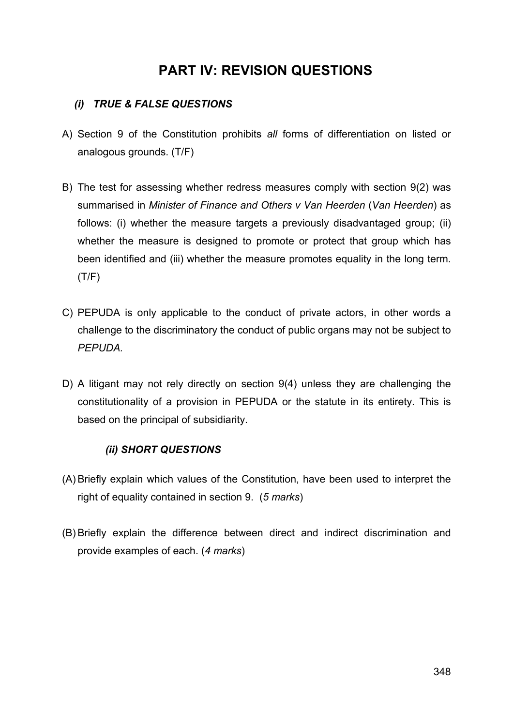# **PART IV: REVISION QUESTIONS**

### *(i) TRUE & FALSE QUESTIONS*

- A) Section 9 of the Constitution prohibits *all* forms of differentiation on listed or analogous grounds. (T/F)
- B) The test for assessing whether redress measures comply with section 9(2) was summarised in *Minister of Finance and Others v Van Heerden* (*Van Heerden*) as follows: (i) whether the measure targets a previously disadvantaged group; (ii) whether the measure is designed to promote or protect that group which has been identified and (iii) whether the measure promotes equality in the long term. (T/F)
- C) PEPUDA is only applicable to the conduct of private actors, in other words a challenge to the discriminatory the conduct of public organs may not be subject to *PEPUDA.*
- D) A litigant may not rely directly on section 9(4) unless they are challenging the constitutionality of a provision in PEPUDA or the statute in its entirety. This is based on the principal of subsidiarity.

### *(ii) SHORT QUESTIONS*

- (A) Briefly explain which values of the Constitution, have been used to interpret the right of equality contained in section 9. (*5 marks*)
- (B) Briefly explain the difference between direct and indirect discrimination and provide examples of each. (*4 marks*)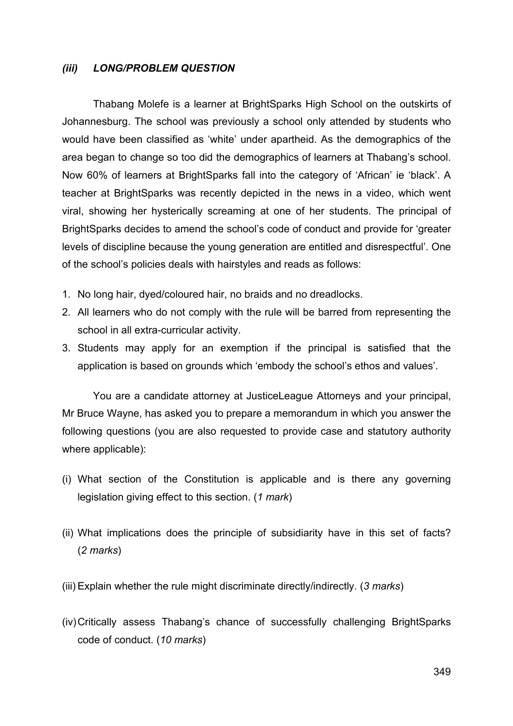#### *(iii) LONG/PROBLEM QUESTION*

Thabang Molefe is a learner at BrightSparks High School on the outskirts of Johannesburg. The school was previously a school only attended by students who would have been classified as 'white' under apartheid. As the demographics of the area began to change so too did the demographics of learners at Thabang's school. Now 60% of learners at BrightSparks fall into the category of 'African' ie 'black'. A teacher at BrightSparks was recently depicted in the news in a video, which went viral, showing her hysterically screaming at one of her students. The principal of BrightSparks decides to amend the school's code of conduct and provide for 'greater levels of discipline because the young generation are entitled and disrespectful'. One of the school's policies deals with hairstyles and reads as follows:

- 1. No long hair, dyed/coloured hair, no braids and no dreadlocks.
- 2. All learners who do not comply with the rule will be barred from representing the school in all extra-curricular activity.
- 3. Students may apply for an exemption if the principal is satisfied that the application is based on grounds which 'embody the school's ethos and values'.

You are a candidate attorney at JusticeLeague Attorneys and your principal, Mr Bruce Wayne, has asked you to prepare a memorandum in which you answer the following questions (you are also requested to provide case and statutory authority where applicable):

- (i) What section of the Constitution is applicable and is there any governing legislation giving effect to this section. (*1 mark*)
- (ii) What implications does the principle of subsidiarity have in this set of facts? (*2 marks*)
- (iii) Explain whether the rule might discriminate directly/indirectly. (*3 marks*)
- (iv)Critically assess Thabang's chance of successfully challenging BrightSparks code of conduct. (*10 marks*)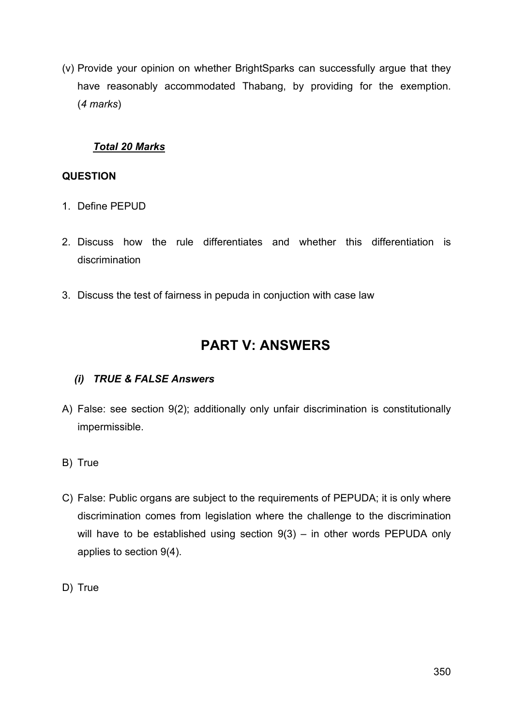(v) Provide your opinion on whether BrightSparks can successfully argue that they have reasonably accommodated Thabang, by providing for the exemption. (*4 marks*)

### *Total 20 Marks*

#### **QUESTION**

- 1. Define PEPUD
- 2. Discuss how the rule differentiates and whether this differentiation is discrimination
- 3. Discuss the test of fairness in pepuda in conjuction with case law

# **PART V: ANSWERS**

### *(i) TRUE & FALSE Answers*

- A) False: see section 9(2); additionally only unfair discrimination is constitutionally impermissible.
- B) True
- C) False: Public organs are subject to the requirements of PEPUDA; it is only where discrimination comes from legislation where the challenge to the discrimination will have to be established using section  $9(3)$  – in other words PEPUDA only applies to section 9(4).
- D) True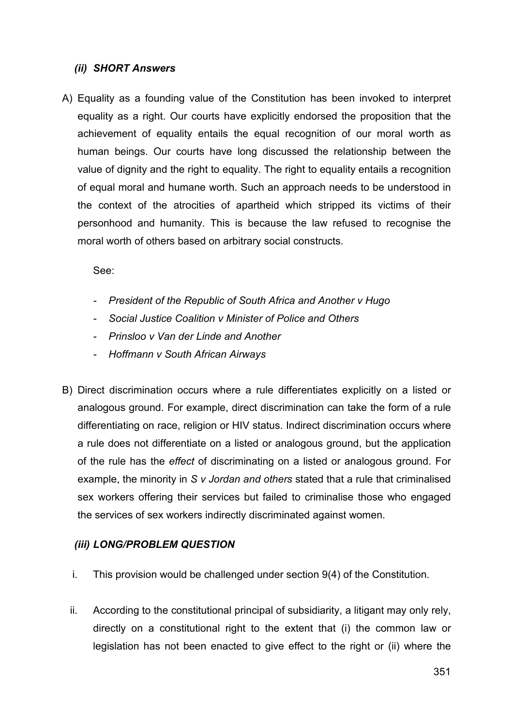#### *(ii) SHORT Answers*

A) Equality as a founding value of the Constitution has been invoked to interpret equality as a right. Our courts have explicitly endorsed the proposition that the achievement of equality entails the equal recognition of our moral worth as human beings. Our courts have long discussed the relationship between the value of dignity and the right to equality. The right to equality entails a recognition of equal moral and humane worth. Such an approach needs to be understood in the context of the atrocities of apartheid which stripped its victims of their personhood and humanity. This is because the law refused to recognise the moral worth of others based on arbitrary social constructs.

See:

- *- President of the Republic of South Africa and Another v Hugo*
- *- Social Justice Coalition v Minister of Police and Others*
- *- Prinsloo v Van der Linde and Another*
- *- Hoffmann v South African Airways*
- B) Direct discrimination occurs where a rule differentiates explicitly on a listed or analogous ground. For example, direct discrimination can take the form of a rule differentiating on race, religion or HIV status. Indirect discrimination occurs where a rule does not differentiate on a listed or analogous ground, but the application of the rule has the *effect* of discriminating on a listed or analogous ground. For example, the minority in *S v Jordan and others* stated that a rule that criminalised sex workers offering their services but failed to criminalise those who engaged the services of sex workers indirectly discriminated against women.

#### *(iii) LONG/PROBLEM QUESTION*

- i. This provision would be challenged under section 9(4) of the Constitution.
- ii. According to the constitutional principal of subsidiarity, a litigant may only rely, directly on a constitutional right to the extent that (i) the common law or legislation has not been enacted to give effect to the right or (ii) where the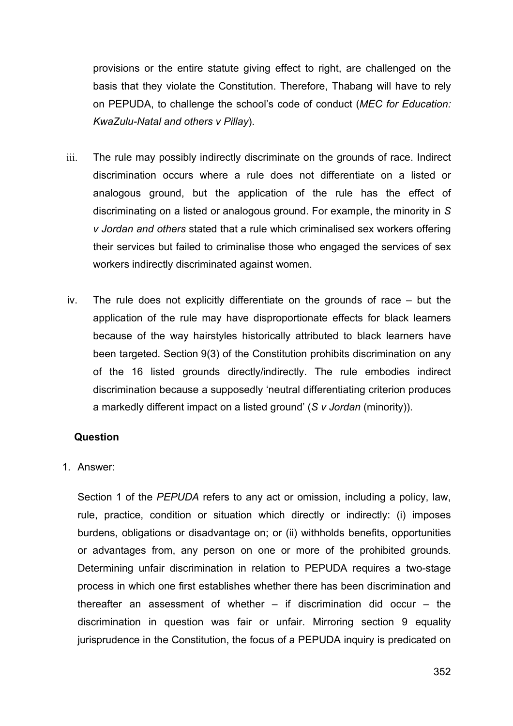provisions or the entire statute giving effect to right, are challenged on the basis that they violate the Constitution. Therefore, Thabang will have to rely on PEPUDA, to challenge the school's code of conduct (*MEC for Education: KwaZulu-Natal and others v Pillay*).

- iii. The rule may possibly indirectly discriminate on the grounds of race. Indirect discrimination occurs where a rule does not differentiate on a listed or analogous ground, but the application of the rule has the effect of discriminating on a listed or analogous ground. For example, the minority in *S v Jordan and others* stated that a rule which criminalised sex workers offering their services but failed to criminalise those who engaged the services of sex workers indirectly discriminated against women.
- iv. The rule does not explicitly differentiate on the grounds of race but the application of the rule may have disproportionate effects for black learners because of the way hairstyles historically attributed to black learners have been targeted. Section 9(3) of the Constitution prohibits discrimination on any of the 16 listed grounds directly/indirectly. The rule embodies indirect discrimination because a supposedly 'neutral differentiating criterion produces a markedly different impact on a listed ground' (*S v Jordan* (minority)).

#### **Question**

1. Answer:

Section 1 of the *PEPUDA* refers to any act or omission, including a policy, law, rule, practice, condition or situation which directly or indirectly: (i) imposes burdens, obligations or disadvantage on; or (ii) withholds benefits, opportunities or advantages from, any person on one or more of the prohibited grounds. Determining unfair discrimination in relation to PEPUDA requires a two-stage process in which one first establishes whether there has been discrimination and thereafter an assessment of whether  $-$  if discrimination did occur  $-$  the discrimination in question was fair or unfair. Mirroring section 9 equality jurisprudence in the Constitution, the focus of a PEPUDA inquiry is predicated on